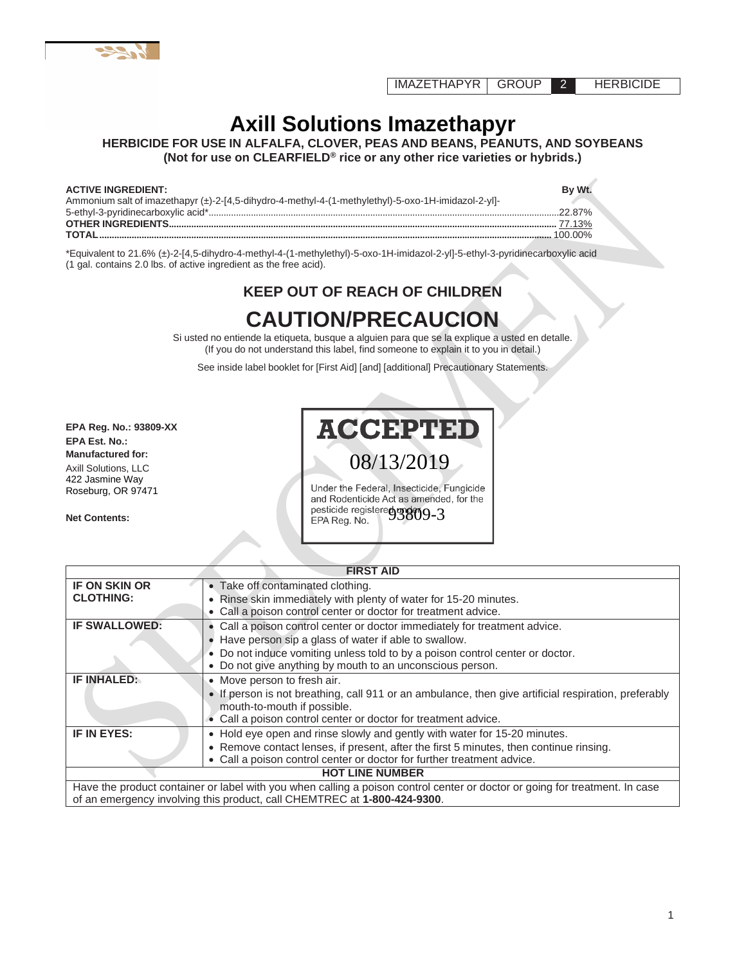IMAZETHAPYR GROUP 2 HERBICIDE

# **Axill Solutions Imazethapyr**

**HERBICIDE FOR USE IN ALFALFA, CLOVER, PEAS AND BEANS, PEANUTS, AND SOYBEANS (Not for use on CLEARFIELD® rice or any other rice varieties or hybrids.)**

#### **ACTIVE INGREDIENT: By Wt.**

| Ammonium salt of imazethapyr (±)-2-[4,5-dihydro-4-methyl-4-(1-methylethyl)-5-oxo-1H-imidazol-2-yl]- | the contract of the contract of |
|-----------------------------------------------------------------------------------------------------|---------------------------------|
|                                                                                                     |                                 |
|                                                                                                     |                                 |
|                                                                                                     |                                 |
|                                                                                                     |                                 |

\*Equivalent to 21.6% (±)-2-[4,5-dihydro-4-methyl-4-(1-methylethyl)-5-oxo-1H-imidazol-2-yl]-5-ethyl-3-pyridinecarboxylic acid (1 gal. contains 2.0 lbs. of active ingredient as the free acid).

# **KEEP OUT OF REACH OF CHILDREN**

# **CAUTION/PRECAUCION**

Si usted no entiende la etiqueta, busque a alguien para que se la explique a usted en detalle. (If you do not understand this label, find someone to explain it to you in detail.)

See inside label booklet for [First Aid] [and] [additional] Precautionary Statements.

**EPA Reg. No.: 93809-XX EPA Est. No.: Manufactured for:** Axill Solutions, LLC 422 Jasmine Way Roseburg, OR 97471

**Net Contents:**

# **ACCEPTEI**

08/13/2019

Under the Federal, Insecticide, Fungicide and Rodenticide Act as amended, for the pesticide registere<sub>d</sub> and model in 193809-3 EPA Reg. No.

|                                          | <b>FIRST AID</b>                                                                                                                                                                                                                                                                 |  |
|------------------------------------------|----------------------------------------------------------------------------------------------------------------------------------------------------------------------------------------------------------------------------------------------------------------------------------|--|
| <b>IF ON SKIN OR</b><br><b>CLOTHING:</b> | • Take off contaminated clothing.<br>• Rinse skin immediately with plenty of water for 15-20 minutes.<br>• Call a poison control center or doctor for treatment advice.                                                                                                          |  |
| <b>IF SWALLOWED:</b>                     | • Call a poison control center or doctor immediately for treatment advice.<br>Have person sip a glass of water if able to swallow.<br>• Do not induce vomiting unless told to by a poison control center or doctor.<br>• Do not give anything by mouth to an unconscious person. |  |
| IF INHALED:                              | • Move person to fresh air.<br>• If person is not breathing, call 911 or an ambulance, then give artificial respiration, preferably<br>mouth-to-mouth if possible.<br>• Call a poison control center or doctor for treatment advice.                                             |  |
| IF IN EYES:                              | • Hold eye open and rinse slowly and gently with water for 15-20 minutes.<br>• Remove contact lenses, if present, after the first 5 minutes, then continue rinsing.<br>• Call a poison control center or doctor for further treatment advice.                                    |  |
| <b>HOT LINE NUMBER</b>                   |                                                                                                                                                                                                                                                                                  |  |
|                                          | Have the product container or label with you when calling a poison control center or doctor or going for treatment. In case<br>of an emergency involving this product, call CHEMTREC at 1-800-424-9300.                                                                          |  |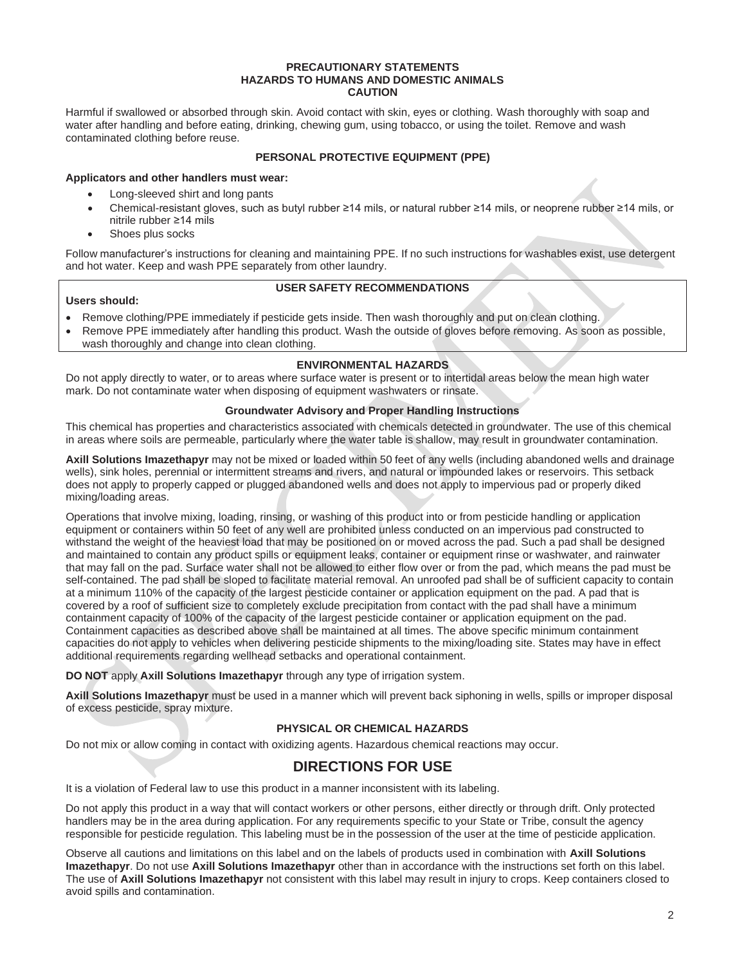#### **PRECAUTIONARY STATEMENTS HAZARDS TO HUMANS AND DOMESTIC ANIMALS CAUTION**

Harmful if swallowed or absorbed through skin. Avoid contact with skin, eyes or clothing. Wash thoroughly with soap and water after handling and before eating, drinking, chewing gum, using tobacco, or using the toilet. Remove and wash contaminated clothing before reuse.

#### **PERSONAL PROTECTIVE EQUIPMENT (PPE)**

#### **Applicators and other handlers must wear:**

- Long-sleeved shirt and long pants
- Chemical-resistant gloves, such as butyl rubber ≥14 mils, or natural rubber ≥14 mils, or neoprene rubber ≥14 mils, or nitrile rubber ≥14 mils
- Shoes plus socks

Follow manufacturer's instructions for cleaning and maintaining PPE. If no such instructions for washables exist, use detergent and hot water. Keep and wash PPE separately from other laundry.

#### **Users should:**

#### **USER SAFETY RECOMMENDATIONS**

- Remove clothing/PPE immediately if pesticide gets inside. Then wash thoroughly and put on clean clothing.
- Remove PPE immediately after handling this product. Wash the outside of gloves before removing. As soon as possible, wash thoroughly and change into clean clothing.

#### **ENVIRONMENTAL HAZARDS**

Do not apply directly to water, or to areas where surface water is present or to intertidal areas below the mean high water mark. Do not contaminate water when disposing of equipment washwaters or rinsate.

#### **Groundwater Advisory and Proper Handling Instructions**

This chemical has properties and characteristics associated with chemicals detected in groundwater. The use of this chemical in areas where soils are permeable, particularly where the water table is shallow, may result in groundwater contamination.

**Axill Solutions Imazethapyr** may not be mixed or loaded within 50 feet of any wells (including abandoned wells and drainage wells), sink holes, perennial or intermittent streams and rivers, and natural or impounded lakes or reservoirs. This setback does not apply to properly capped or plugged abandoned wells and does not apply to impervious pad or properly diked mixing/loading areas.

Operations that involve mixing, loading, rinsing, or washing of this product into or from pesticide handling or application equipment or containers within 50 feet of any well are prohibited unless conducted on an impervious pad constructed to withstand the weight of the heaviest load that may be positioned on or moved across the pad. Such a pad shall be designed and maintained to contain any product spills or equipment leaks, container or equipment rinse or washwater, and rainwater that may fall on the pad. Surface water shall not be allowed to either flow over or from the pad, which means the pad must be self-contained. The pad shall be sloped to facilitate material removal. An unroofed pad shall be of sufficient capacity to contain at a minimum 110% of the capacity of the largest pesticide container or application equipment on the pad. A pad that is covered by a roof of sufficient size to completely exclude precipitation from contact with the pad shall have a minimum containment capacity of 100% of the capacity of the largest pesticide container or application equipment on the pad. Containment capacities as described above shall be maintained at all times. The above specific minimum containment capacities do not apply to vehicles when delivering pesticide shipments to the mixing/loading site. States may have in effect additional requirements regarding wellhead setbacks and operational containment.

**DO NOT** apply **Axill Solutions Imazethapyr** through any type of irrigation system.

**Axill Solutions Imazethapyr** must be used in a manner which will prevent back siphoning in wells, spills or improper disposal of excess pesticide, spray mixture.

#### **PHYSICAL OR CHEMICAL HAZARDS**

Do not mix or allow coming in contact with oxidizing agents. Hazardous chemical reactions may occur.

## **DIRECTIONS FOR USE**

It is a violation of Federal law to use this product in a manner inconsistent with its labeling.

Do not apply this product in a way that will contact workers or other persons, either directly or through drift. Only protected handlers may be in the area during application. For any requirements specific to your State or Tribe, consult the agency responsible for pesticide regulation. This labeling must be in the possession of the user at the time of pesticide application.

Observe all cautions and limitations on this label and on the labels of products used in combination with **Axill Solutions Imazethapyr**. Do not use **Axill Solutions Imazethapyr** other than in accordance with the instructions set forth on this label. The use of **Axill Solutions Imazethapyr** not consistent with this label may result in injury to crops. Keep containers closed to avoid spills and contamination.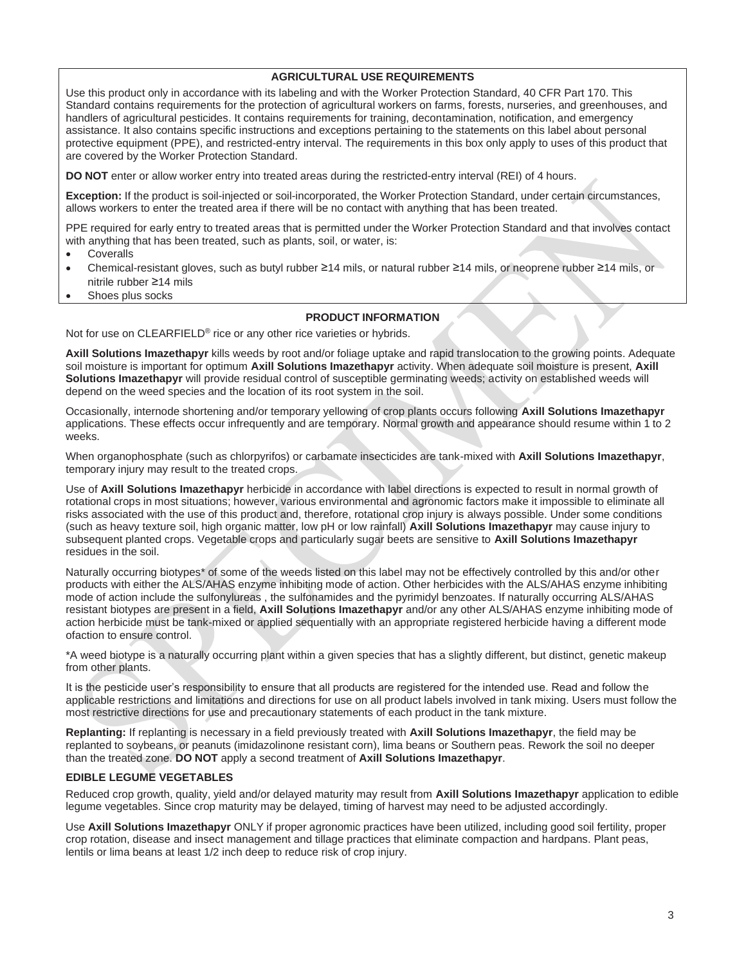#### **AGRICULTURAL USE REQUIREMENTS**

Use this product only in accordance with its labeling and with the Worker Protection Standard, 40 CFR Part 170. This Standard contains requirements for the protection of agricultural workers on farms, forests, nurseries, and greenhouses, and handlers of agricultural pesticides. It contains requirements for training, decontamination, notification, and emergency assistance. It also contains specific instructions and exceptions pertaining to the statements on this label about personal protective equipment (PPE), and restricted-entry interval. The requirements in this box only apply to uses of this product that are covered by the Worker Protection Standard.

**DO NOT** enter or allow worker entry into treated areas during the restricted-entry interval (REI) of 4 hours.

**Exception:** If the product is soil-injected or soil-incorporated, the Worker Protection Standard, under certain circumstances, allows workers to enter the treated area if there will be no contact with anything that has been treated.

PPE required for early entry to treated areas that is permitted under the Worker Protection Standard and that involves contact with anything that has been treated, such as plants, soil, or water, is:

- **Coveralls**
- Chemical-resistant gloves, such as butyl rubber ≥14 mils, or natural rubber ≥14 mils, or neoprene rubber ≥14 mils, or nitrile rubber ≥14 mils
- Shoes plus socks

#### **PRODUCT INFORMATION**

Not for use on CLEARFIELD® rice or any other rice varieties or hybrids.

**Axill Solutions Imazethapyr** kills weeds by root and/or foliage uptake and rapid translocation to the growing points. Adequate soil moisture is important for optimum **Axill Solutions Imazethapyr** activity. When adequate soil moisture is present, **Axill Solutions Imazethapyr** will provide residual control of susceptible germinating weeds; activity on established weeds will depend on the weed species and the location of its root system in the soil.

Occasionally, internode shortening and/or temporary yellowing of crop plants occurs following **Axill Solutions Imazethapyr** applications. These effects occur infrequently and are temporary. Normal growth and appearance should resume within 1 to 2 weeks.

When organophosphate (such as chlorpyrifos) or carbamate insecticides are tank-mixed with **Axill Solutions Imazethapyr**, temporary injury may result to the treated crops.

Use of **Axill Solutions Imazethapyr** herbicide in accordance with label directions is expected to result in normal growth of rotational crops in most situations; however, various environmental and agronomic factors make it impossible to eliminate all risks associated with the use of this product and, therefore, rotational crop injury is always possible. Under some conditions (such as heavy texture soil, high organic matter, low pH or low rainfall) **Axill Solutions Imazethapyr** may cause injury to subsequent planted crops. Vegetable crops and particularly sugar beets are sensitive to **Axill Solutions Imazethapyr** residues in the soil.

Naturally occurring biotypes\* of some of the weeds listed on this label may not be effectively controlled by this and/or other products with either the ALS/AHAS enzyme inhibiting mode of action. Other herbicides with the ALS/AHAS enzyme inhibiting mode of action include the sulfonylureas , the sulfonamides and the pyrimidyl benzoates. If naturally occurring ALS/AHAS resistant biotypes are present in a field, **Axill Solutions Imazethapyr** and/or any other ALS/AHAS enzyme inhibiting mode of action herbicide must be tank-mixed or applied sequentially with an appropriate registered herbicide having a different mode ofaction to ensure control.

\*A weed biotype is a naturally occurring plant within a given species that has a slightly different, but distinct, genetic makeup from other plants.

It is the pesticide user's responsibility to ensure that all products are registered for the intended use. Read and follow the applicable restrictions and limitations and directions for use on all product labels involved in tank mixing. Users must follow the most restrictive directions for use and precautionary statements of each product in the tank mixture.

**Replanting:** If replanting is necessary in a field previously treated with **Axill Solutions Imazethapyr**, the field may be replanted to soybeans, or peanuts (imidazolinone resistant corn), lima beans or Southern peas. Rework the soil no deeper than the treated zone. **DO NOT** apply a second treatment of **Axill Solutions Imazethapyr**.

#### **EDIBLE LEGUME VEGETABLES**

Reduced crop growth, quality, yield and/or delayed maturity may result from **Axill Solutions Imazethapyr** application to edible legume vegetables. Since crop maturity may be delayed, timing of harvest may need to be adjusted accordingly.

Use **Axill Solutions Imazethapyr** ONLY if proper agronomic practices have been utilized, including good soil fertility, proper crop rotation, disease and insect management and tillage practices that eliminate compaction and hardpans. Plant peas, lentils or lima beans at least 1/2 inch deep to reduce risk of crop injury.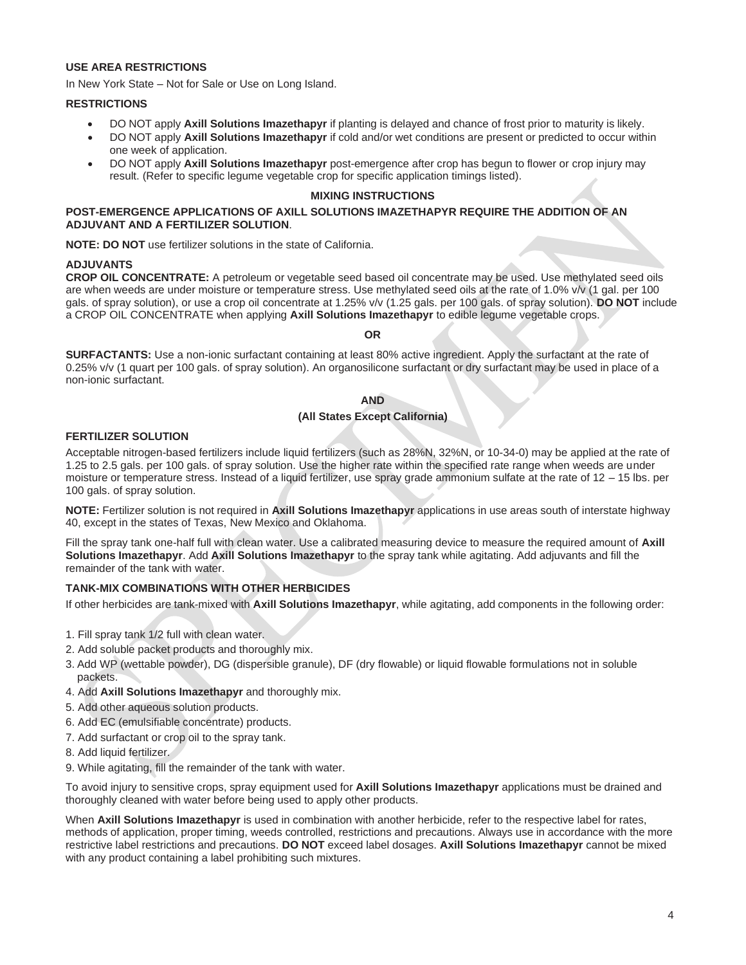#### **USE AREA RESTRICTIONS**

In New York State – Not for Sale or Use on Long Island.

#### **RESTRICTIONS**

- DO NOT apply **Axill Solutions Imazethapyr** if planting is delayed and chance of frost prior to maturity is likely.
- DO NOT apply **Axill Solutions Imazethapyr** if cold and/or wet conditions are present or predicted to occur within one week of application.
- DO NOT apply **Axill Solutions Imazethapyr** post-emergence after crop has begun to flower or crop injury may result. (Refer to specific legume vegetable crop for specific application timings listed).

#### **MIXING INSTRUCTIONS**

#### **POST-EMERGENCE APPLICATIONS OF AXILL SOLUTIONS IMAZETHAPYR REQUIRE THE ADDITION OF AN ADJUVANT AND A FERTILIZER SOLUTION**.

**NOTE: DO NOT** use fertilizer solutions in the state of California.

#### **ADJUVANTS**

**CROP OIL CONCENTRATE:** A petroleum or vegetable seed based oil concentrate may be used. Use methylated seed oils are when weeds are under moisture or temperature stress. Use methylated seed oils at the rate of 1.0% v/v (1 gal. per 100 gals. of spray solution), or use a crop oil concentrate at 1.25% v/v (1.25 gals. per 100 gals. of spray solution). **DO NOT** include a CROP OIL CONCENTRATE when applying **Axill Solutions Imazethapyr** to edible legume vegetable crops.

#### **OR**

**SURFACTANTS:** Use a non-ionic surfactant containing at least 80% active ingredient. Apply the surfactant at the rate of 0.25% v/v (1 quart per 100 gals. of spray solution). An organosilicone surfactant or dry surfactant may be used in place of a non-ionic surfactant.

#### **AND**

#### **(All States Except California)**

#### **FERTILIZER SOLUTION**

Acceptable nitrogen-based fertilizers include liquid fertilizers (such as 28%N, 32%N, or 10-34-0) may be applied at the rate of 1.25 to 2.5 gals. per 100 gals. of spray solution. Use the higher rate within the specified rate range when weeds are under moisture or temperature stress. Instead of a liquid fertilizer, use spray grade ammonium sulfate at the rate of 12 – 15 lbs. per 100 gals. of spray solution.

**NOTE:** Fertilizer solution is not required in **Axill Solutions Imazethapyr** applications in use areas south of interstate highway 40, except in the states of Texas, New Mexico and Oklahoma.

Fill the spray tank one-half full with clean water. Use a calibrated measuring device to measure the required amount of **Axill Solutions Imazethapyr**. Add **Axill Solutions Imazethapyr** to the spray tank while agitating. Add adjuvants and fill the remainder of the tank with water.

#### **TANK-MIX COMBINATIONS WITH OTHER HERBICIDES**

If other herbicides are tank-mixed with **Axill Solutions Imazethapyr**, while agitating, add components in the following order:

- 1. Fill spray tank 1/2 full with clean water.
- 2. Add soluble packet products and thoroughly mix.
- 3. Add WP (wettable powder), DG (dispersible granule), DF (dry flowable) or liquid flowable formulations not in soluble packets.
- 4. Add **Axill Solutions Imazethapyr** and thoroughly mix.
- 5. Add other aqueous solution products.
- 6. Add EC (emulsifiable concentrate) products.
- 7. Add surfactant or crop oil to the spray tank.
- 8. Add liquid fertilizer.
- 9. While agitating, fill the remainder of the tank with water.

To avoid injury to sensitive crops, spray equipment used for **Axill Solutions Imazethapyr** applications must be drained and thoroughly cleaned with water before being used to apply other products.

When **Axill Solutions Imazethapyr** is used in combination with another herbicide, refer to the respective label for rates, methods of application, proper timing, weeds controlled, restrictions and precautions. Always use in accordance with the more restrictive label restrictions and precautions. **DO NOT** exceed label dosages. **Axill Solutions Imazethapyr** cannot be mixed with any product containing a label prohibiting such mixtures.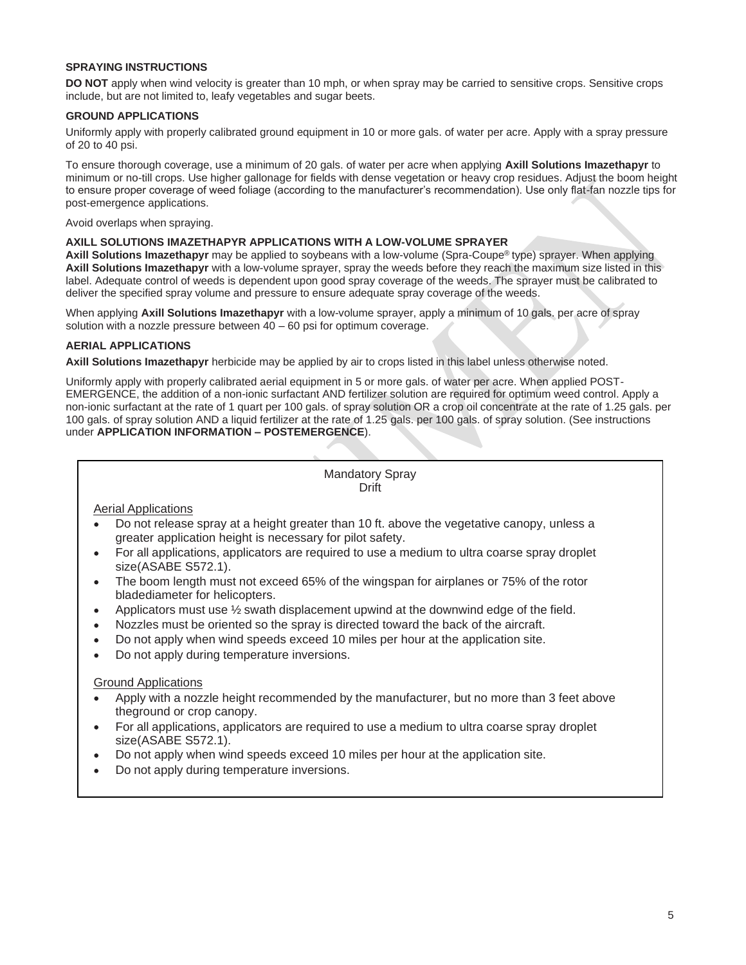#### **SPRAYING INSTRUCTIONS**

**DO NOT** apply when wind velocity is greater than 10 mph, or when spray may be carried to sensitive crops. Sensitive crops include, but are not limited to, leafy vegetables and sugar beets.

#### **GROUND APPLICATIONS**

Uniformly apply with properly calibrated ground equipment in 10 or more gals. of water per acre. Apply with a spray pressure of 20 to 40 psi.

To ensure thorough coverage, use a minimum of 20 gals. of water per acre when applying **Axill Solutions Imazethapyr** to minimum or no-till crops. Use higher gallonage for fields with dense vegetation or heavy crop residues. Adjust the boom height to ensure proper coverage of weed foliage (according to the manufacturer's recommendation). Use only flat-fan nozzle tips for post-emergence applications.

Avoid overlaps when spraying.

#### **AXILL SOLUTIONS IMAZETHAPYR APPLICATIONS WITH A LOW-VOLUME SPRAYER**

**Axill Solutions Imazethapyr** may be applied to soybeans with a low-volume (Spra-Coupe® type) sprayer. When applying **Axill Solutions Imazethapyr** with a low-volume sprayer, spray the weeds before they reach the maximum size listed in this label. Adequate control of weeds is dependent upon good spray coverage of the weeds. The sprayer must be calibrated to deliver the specified spray volume and pressure to ensure adequate spray coverage of the weeds.

When applying **Axill Solutions Imazethapyr** with a low-volume sprayer, apply a minimum of 10 gals. per acre of spray solution with a nozzle pressure between 40 – 60 psi for optimum coverage.

#### **AERIAL APPLICATIONS**

**Axill Solutions Imazethapyr** herbicide may be applied by air to crops listed in this label unless otherwise noted.

Uniformly apply with properly calibrated aerial equipment in 5 or more gals. of water per acre. When applied POST-EMERGENCE, the addition of a non-ionic surfactant AND fertilizer solution are required for optimum weed control. Apply a non-ionic surfactant at the rate of 1 quart per 100 gals. of spray solution OR a crop oil concentrate at the rate of 1.25 gals. per 100 gals. of spray solution AND a liquid fertilizer at the rate of 1.25 gals. per 100 gals. of spray solution. (See instructions under **APPLICATION INFORMATION – POSTEMERGENCE**).

> Mandatory Spray Drift

Aerial Applications

- Do not release spray at a height greater than 10 ft. above the vegetative canopy, unless a greater application height is necessary for pilot safety.
- $\bullet$ For all applications, applicators are required to use a medium to ultra coarse spray droplet size(ASABE S572.1).
- The boom length must not exceed 65% of the wingspan for airplanes or 75% of the rotor  $\bullet$ bladediameter for helicopters.
- Applicators must use ½ swath displacement upwind at the downwind edge of the field.  $\bullet$
- Nozzles must be oriented so the spray is directed toward the back of the aircraft.  $\bullet$
- Do not apply when wind speeds exceed 10 miles per hour at the application site.  $\bullet$
- Do not apply during temperature inversions.  $\bullet$

#### Ground Applications

- Apply with a nozzle height recommended by the manufacturer, but no more than 3 feet above theground or crop canopy.
- For all applications, applicators are required to use a medium to ultra coarse spray droplet  $\bullet$ size(ASABE S572.1).
- Do not apply when wind speeds exceed 10 miles per hour at the application site.  $\bullet$
- Do not apply during temperature inversions. $\bullet$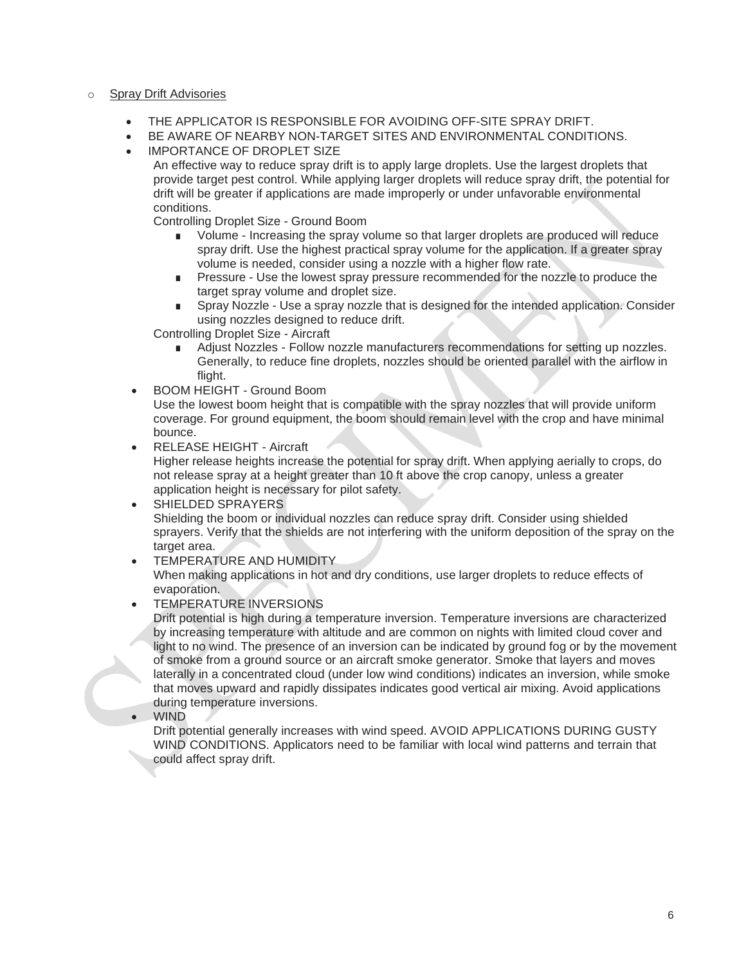#### o Spray Drift Advisories

- THE APPLICATOR IS RESPONSIBLE FOR AVOIDING OFF-SITE SPRAY DRIFT.
- BE AWARE OF NEARBY NON-TARGET SITES AND ENVIRONMENTAL CONDITIONS.
- **IMPORTANCE OF DROPLET SIZE**

An effective way to reduce spray drift is to apply large droplets. Use the largest droplets that provide target pest control. While applying larger droplets will reduce spray drift, the potential for drift will be greater if applications are made improperly or under unfavorable environmental conditions.

Controlling Droplet Size - Ground Boom

- Volume Increasing the spray volume so that larger droplets are produced will reduce spray drift. Use the highest practical spray volume for the application. If a greater spray volume is needed, consider using a nozzle with a higher flow rate.
- Pressure Use the lowest spray pressure recommended for the nozzle to produce the target spray volume and droplet size.
- Spray Nozzle Use a spray nozzle that is designed for the intended application. Consider using nozzles designed to reduce drift.

Controlling Droplet Size - Aircraft

- Adjust Nozzles Follow nozzle manufacturers recommendations for setting up nozzles. Generally, to reduce fine droplets, nozzles should be oriented parallel with the airflow in flight.
- BOOM HEIGHT Ground Boom

Use the lowest boom height that is compatible with the spray nozzles that will provide uniform coverage. For ground equipment, the boom should remain level with the crop and have minimal bounce.

• RELEASE HEIGHT - Aircraft

Higher release heights increase the potential for spray drift. When applying aerially to crops, do not release spray at a height greater than 10 ft above the crop canopy, unless a greater application height is necessary for pilot safety.

- SHIELDED SPRAYERS Shielding the boom or individual nozzles can reduce spray drift. Consider using shielded sprayers. Verify that the shields are not interfering with the uniform deposition of the spray on the target area.
- TEMPERATURE AND HUMIDITY

When making applications in hot and dry conditions, use larger droplets to reduce effects of evaporation.

• TEMPERATURE INVERSIONS

Drift potential is high during a temperature inversion. Temperature inversions are characterized by increasing temperature with altitude and are common on nights with limited cloud cover and light to no wind. The presence of an inversion can be indicated by ground fog or by the movement of smoke from a ground source or an aircraft smoke generator. Smoke that layers and moves laterally in a concentrated cloud (under low wind conditions) indicates an inversion, while smoke that moves upward and rapidly dissipates indicates good vertical air mixing. Avoid applications during temperature inversions.

• WIND

Drift potential generally increases with wind speed. AVOID APPLICATIONS DURING GUSTY WIND CONDITIONS. Applicators need to be familiar with local wind patterns and terrain that could affect spray drift.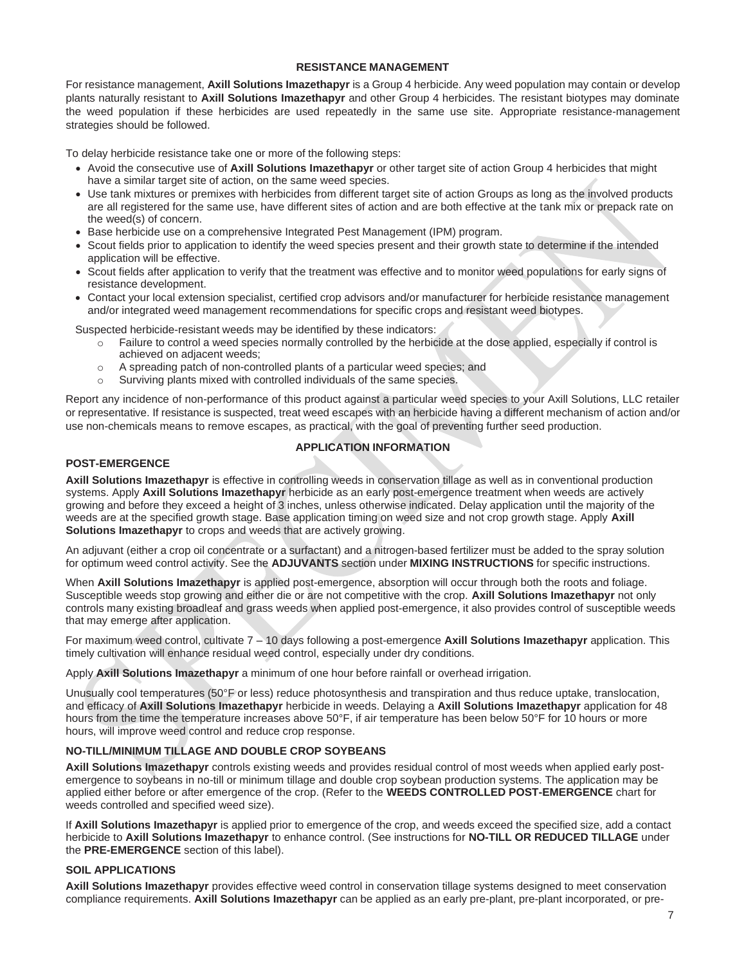#### **RESISTANCE MANAGEMENT**

For resistance management, **Axill Solutions Imazethapyr** is a Group 4 herbicide. Any weed population may contain or develop plants naturally resistant to **Axill Solutions Imazethapyr** and other Group 4 herbicides. The resistant biotypes may dominate the weed population if these herbicides are used repeatedly in the same use site. Appropriate resistance-management strategies should be followed.

To delay herbicide resistance take one or more of the following steps:

- Avoid the consecutive use of **Axill Solutions Imazethapyr** or other target site of action Group 4 herbicides that might have a similar target site of action, on the same weed species.
- Use tank mixtures or premixes with herbicides from different target site of action Groups as long as the involved products are all registered for the same use, have different sites of action and are both effective at the tank mix or prepack rate on the weed(s) of concern.
- Base herbicide use on a comprehensive Integrated Pest Management (IPM) program.
- Scout fields prior to application to identify the weed species present and their growth state to determine if the intended application will be effective.
- Scout fields after application to verify that the treatment was effective and to monitor weed populations for early signs of resistance development.
- Contact your local extension specialist, certified crop advisors and/or manufacturer for herbicide resistance management and/or integrated weed management recommendations for specific crops and resistant weed biotypes.

Suspected herbicide-resistant weeds may be identified by these indicators:

- o Failure to control a weed species normally controlled by the herbicide at the dose applied, especially if control is achieved on adjacent weeds;
- o A spreading patch of non-controlled plants of a particular weed species; and
- o Surviving plants mixed with controlled individuals of the same species.

Report any incidence of non-performance of this product against a particular weed species to your Axill Solutions, LLC retailer or representative. If resistance is suspected, treat weed escapes with an herbicide having a different mechanism of action and/or use non-chemicals means to remove escapes, as practical, with the goal of preventing further seed production.

#### **APPLICATION INFORMATION**

#### **POST-EMERGENCE**

**Axill Solutions Imazethapyr** is effective in controlling weeds in conservation tillage as well as in conventional production systems. Apply **Axill Solutions Imazethapyr** herbicide as an early post-emergence treatment when weeds are actively growing and before they exceed a height of 3 inches, unless otherwise indicated. Delay application until the majority of the weeds are at the specified growth stage. Base application timing on weed size and not crop growth stage. Apply **Axill Solutions Imazethapyr** to crops and weeds that are actively growing.

An adjuvant (either a crop oil concentrate or a surfactant) and a nitrogen-based fertilizer must be added to the spray solution for optimum weed control activity. See the **ADJUVANTS** section under **MIXING INSTRUCTIONS** for specific instructions.

When **Axill Solutions Imazethapyr** is applied post-emergence, absorption will occur through both the roots and foliage. Susceptible weeds stop growing and either die or are not competitive with the crop. **Axill Solutions Imazethapyr** not only controls many existing broadleaf and grass weeds when applied post-emergence, it also provides control of susceptible weeds that may emerge after application.

For maximum weed control, cultivate 7 – 10 days following a post-emergence **Axill Solutions Imazethapyr** application. This timely cultivation will enhance residual weed control, especially under dry conditions.

Apply **Axill Solutions Imazethapyr** a minimum of one hour before rainfall or overhead irrigation.

Unusually cool temperatures (50°F or less) reduce photosynthesis and transpiration and thus reduce uptake, translocation, and efficacy of **Axill Solutions Imazethapyr** herbicide in weeds. Delaying a **Axill Solutions Imazethapyr** application for 48 hours from the time the temperature increases above 50°F, if air temperature has been below 50°F for 10 hours or more hours, will improve weed control and reduce crop response.

#### **NO-TILL/MINIMUM TILLAGE AND DOUBLE CROP SOYBEANS**

**Axill Solutions Imazethapyr** controls existing weeds and provides residual control of most weeds when applied early postemergence to soybeans in no-till or minimum tillage and double crop soybean production systems. The application may be applied either before or after emergence of the crop. (Refer to the **WEEDS CONTROLLED POST-EMERGENCE** chart for weeds controlled and specified weed size).

If **Axill Solutions Imazethapyr** is applied prior to emergence of the crop, and weeds exceed the specified size, add a contact herbicide to **Axill Solutions Imazethapyr** to enhance control. (See instructions for **NO-TILL OR REDUCED TILLAGE** under the **PRE-EMERGENCE** section of this label).

#### **SOIL APPLICATIONS**

**Axill Solutions Imazethapyr** provides effective weed control in conservation tillage systems designed to meet conservation compliance requirements. **Axill Solutions Imazethapyr** can be applied as an early pre-plant, pre-plant incorporated, or pre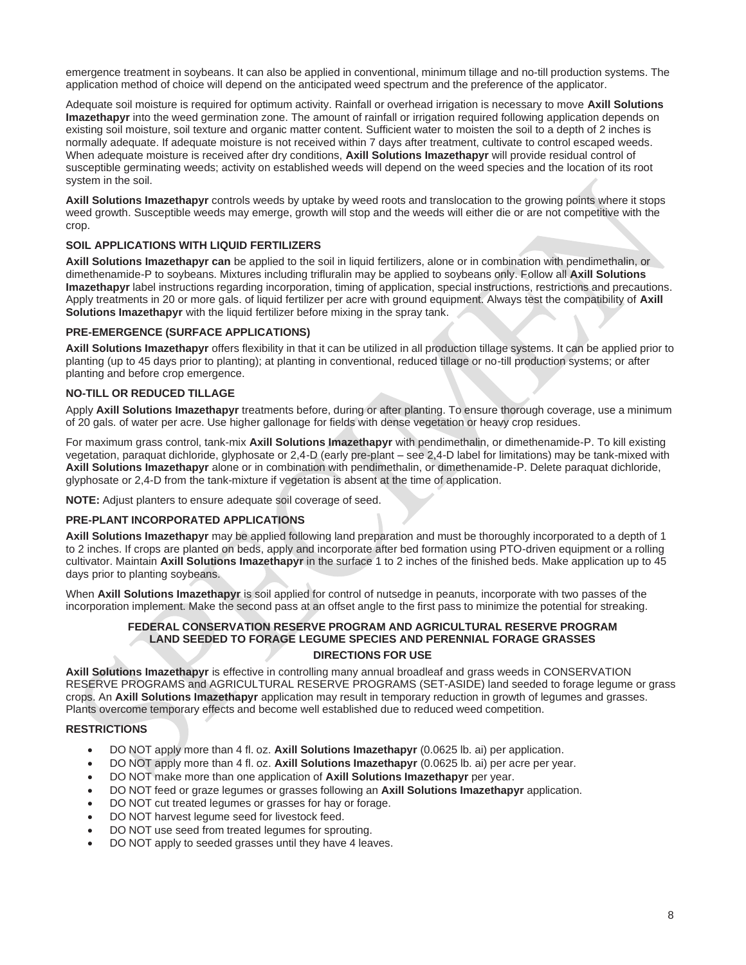emergence treatment in soybeans. It can also be applied in conventional, minimum tillage and no-till production systems. The application method of choice will depend on the anticipated weed spectrum and the preference of the applicator.

Adequate soil moisture is required for optimum activity. Rainfall or overhead irrigation is necessary to move **Axill Solutions Imazethapyr** into the weed germination zone. The amount of rainfall or irrigation required following application depends on existing soil moisture, soil texture and organic matter content. Sufficient water to moisten the soil to a depth of 2 inches is normally adequate. If adequate moisture is not received within 7 days after treatment, cultivate to control escaped weeds. When adequate moisture is received after dry conditions, **Axill Solutions Imazethapyr** will provide residual control of susceptible germinating weeds; activity on established weeds will depend on the weed species and the location of its root system in the soil.

**Axill Solutions Imazethapyr** controls weeds by uptake by weed roots and translocation to the growing points where it stops weed growth. Susceptible weeds may emerge, growth will stop and the weeds will either die or are not competitive with the crop.

#### **SOIL APPLICATIONS WITH LIQUID FERTILIZERS**

**Axill Solutions Imazethapyr can** be applied to the soil in liquid fertilizers, alone or in combination with pendimethalin, or dimethenamide-P to soybeans. Mixtures including trifluralin may be applied to soybeans only. Follow all **Axill Solutions Imazethapyr** label instructions regarding incorporation, timing of application, special instructions, restrictions and precautions. Apply treatments in 20 or more gals. of liquid fertilizer per acre with ground equipment. Always test the compatibility of **Axill Solutions Imazethapyr** with the liquid fertilizer before mixing in the spray tank.

#### **PRE-EMERGENCE (SURFACE APPLICATIONS)**

**Axill Solutions Imazethapyr** offers flexibility in that it can be utilized in all production tillage systems. It can be applied prior to planting (up to 45 days prior to planting); at planting in conventional, reduced tillage or no-till production systems; or after planting and before crop emergence.

#### **NO-TILL OR REDUCED TILLAGE**

Apply **Axill Solutions Imazethapyr** treatments before, during or after planting. To ensure thorough coverage, use a minimum of 20 gals. of water per acre. Use higher gallonage for fields with dense vegetation or heavy crop residues.

For maximum grass control, tank-mix **Axill Solutions Imazethapyr** with pendimethalin, or dimethenamide-P. To kill existing vegetation, paraquat dichloride, glyphosate or 2,4-D (early pre-plant – see 2,4-D label for limitations) may be tank-mixed with **Axill Solutions Imazethapyr** alone or in combination with pendimethalin, or dimethenamide-P. Delete paraquat dichloride, glyphosate or 2,4-D from the tank-mixture if vegetation is absent at the time of application.

**NOTE:** Adjust planters to ensure adequate soil coverage of seed.

#### **PRE-PLANT INCORPORATED APPLICATIONS**

**Axill Solutions Imazethapyr** may be applied following land preparation and must be thoroughly incorporated to a depth of 1 to 2 inches. If crops are planted on beds, apply and incorporate after bed formation using PTO-driven equipment or a rolling cultivator. Maintain **Axill Solutions Imazethapyr** in the surface 1 to 2 inches of the finished beds. Make application up to 45 days prior to planting soybeans.

When **Axill Solutions Imazethapyr** is soil applied for control of nutsedge in peanuts, incorporate with two passes of the incorporation implement. Make the second pass at an offset angle to the first pass to minimize the potential for streaking.

## **FEDERAL CONSERVATION RESERVE PROGRAM AND AGRICULTURAL RESERVE PROGRAM LAND SEEDED TO FORAGE LEGUME SPECIES AND PERENNIAL FORAGE GRASSES**

#### **DIRECTIONS FOR USE**

**Axill Solutions Imazethapyr** is effective in controlling many annual broadleaf and grass weeds in CONSERVATION RESERVE PROGRAMS and AGRICULTURAL RESERVE PROGRAMS (SET-ASIDE) land seeded to forage legume or grass crops. An **Axill Solutions Imazethapyr** application may result in temporary reduction in growth of legumes and grasses. Plants overcome temporary effects and become well established due to reduced weed competition.

#### **RESTRICTIONS**

- DO NOT apply more than 4 fl. oz. **Axill Solutions Imazethapyr** (0.0625 lb. ai) per application.
- DO NOT apply more than 4 fl. oz. **Axill Solutions Imazethapyr** (0.0625 lb. ai) per acre per year.
- DO NOT make more than one application of **Axill Solutions Imazethapyr** per year.
- DO NOT feed or graze legumes or grasses following an **Axill Solutions Imazethapyr** application.
- DO NOT cut treated legumes or grasses for hay or forage.
- DO NOT harvest legume seed for livestock feed.
- DO NOT use seed from treated legumes for sprouting.
- DO NOT apply to seeded grasses until they have 4 leaves.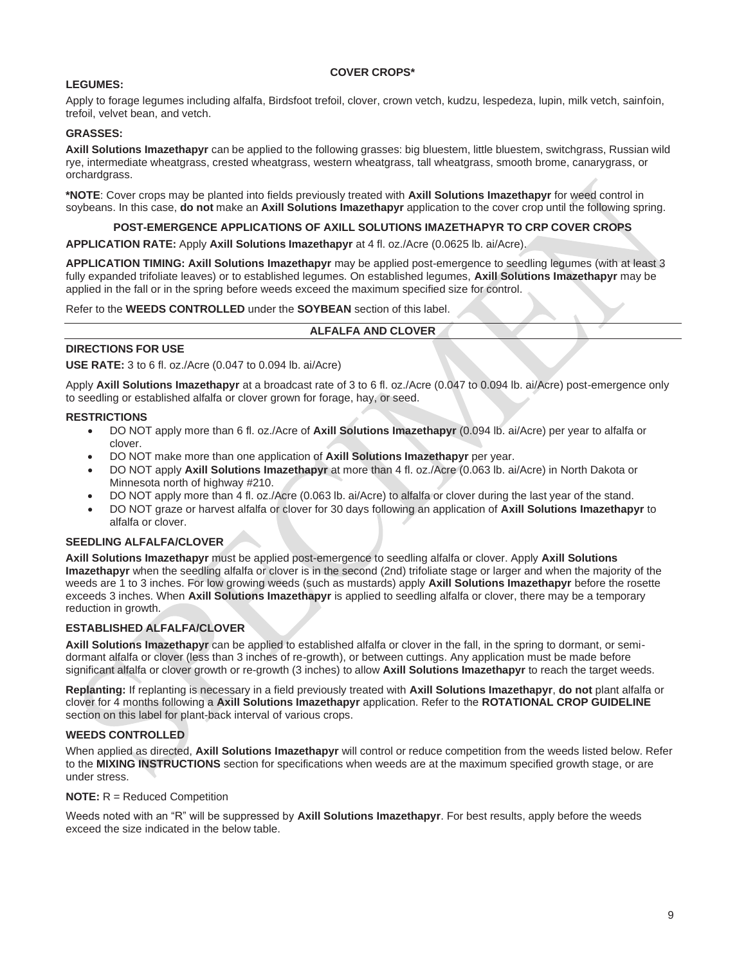#### **COVER CROPS\***

#### **LEGUMES:**

Apply to forage legumes including alfalfa, Birdsfoot trefoil, clover, crown vetch, kudzu, lespedeza, lupin, milk vetch, sainfoin, trefoil, velvet bean, and vetch.

#### **GRASSES:**

**Axill Solutions Imazethapyr** can be applied to the following grasses: big bluestem, little bluestem, switchgrass, Russian wild rye, intermediate wheatgrass, crested wheatgrass, western wheatgrass, tall wheatgrass, smooth brome, canarygrass, or orchardgrass.

**\*NOTE**: Cover crops may be planted into fields previously treated with **Axill Solutions Imazethapyr** for weed control in soybeans. In this case, **do not** make an **Axill Solutions Imazethapyr** application to the cover crop until the following spring.

#### **POST-EMERGENCE APPLICATIONS OF AXILL SOLUTIONS IMAZETHAPYR TO CRP COVER CROPS**

**APPLICATION RATE:** Apply **Axill Solutions Imazethapyr** at 4 fl. oz./Acre (0.0625 lb. ai/Acre).

**APPLICATION TIMING: Axill Solutions Imazethapyr** may be applied post-emergence to seedling legumes (with at least 3 fully expanded trifoliate leaves) or to established legumes. On established legumes, **Axill Solutions Imazethapyr** may be applied in the fall or in the spring before weeds exceed the maximum specified size for control.

Refer to the **WEEDS CONTROLLED** under the **SOYBEAN** section of this label.

#### **ALFALFA AND CLOVER**

#### **DIRECTIONS FOR USE**

**USE RATE:** 3 to 6 fl. oz./Acre (0.047 to 0.094 lb. ai/Acre)

Apply **Axill Solutions Imazethapyr** at a broadcast rate of 3 to 6 fl. oz./Acre (0.047 to 0.094 lb. ai/Acre) post-emergence only to seedling or established alfalfa or clover grown for forage, hay, or seed.

#### **RESTRICTIONS**

- DO NOT apply more than 6 fl. oz./Acre of **Axill Solutions Imazethapyr** (0.094 lb. ai/Acre) per year to alfalfa or clover.
- DO NOT make more than one application of **Axill Solutions Imazethapyr** per year.
- DO NOT apply **Axill Solutions Imazethapyr** at more than 4 fl. oz./Acre (0.063 lb. ai/Acre) in North Dakota or Minnesota north of highway #210.
- DO NOT apply more than 4 fl. oz./Acre (0.063 lb. ai/Acre) to alfalfa or clover during the last year of the stand.
- DO NOT graze or harvest alfalfa or clover for 30 days following an application of **Axill Solutions Imazethapyr** to alfalfa or clover.

#### **SEEDLING ALFALFA/CLOVER**

**Axill Solutions Imazethapyr** must be applied post-emergence to seedling alfalfa or clover. Apply **Axill Solutions Imazethapyr** when the seedling alfalfa or clover is in the second (2nd) trifoliate stage or larger and when the majority of the weeds are 1 to 3 inches. For low growing weeds (such as mustards) apply **Axill Solutions Imazethapyr** before the rosette exceeds 3 inches. When **Axill Solutions Imazethapyr** is applied to seedling alfalfa or clover, there may be a temporary reduction in growth.

#### **ESTABLISHED ALFALFA/CLOVER**

**Axill Solutions Imazethapyr** can be applied to established alfalfa or clover in the fall, in the spring to dormant, or semidormant alfalfa or clover (less than 3 inches of re-growth), or between cuttings. Any application must be made before significant alfalfa or clover growth or re-growth (3 inches) to allow **Axill Solutions Imazethapyr** to reach the target weeds.

**Replanting:** If replanting is necessary in a field previously treated with **Axill Solutions Imazethapyr**, **do not** plant alfalfa or clover for 4 months following a **Axill Solutions Imazethapyr** application. Refer to the **ROTATIONAL CROP GUIDELINE** section on this label for plant-back interval of various crops.

#### **WEEDS CONTROLLED**

When applied as directed, **Axill Solutions Imazethapyr** will control or reduce competition from the weeds listed below. Refer to the **MIXING INSTRUCTIONS** section for specifications when weeds are at the maximum specified growth stage, or are under stress.

#### **NOTE:** R = Reduced Competition

Weeds noted with an "R" will be suppressed by **Axill Solutions Imazethapyr**. For best results, apply before the weeds exceed the size indicated in the below table.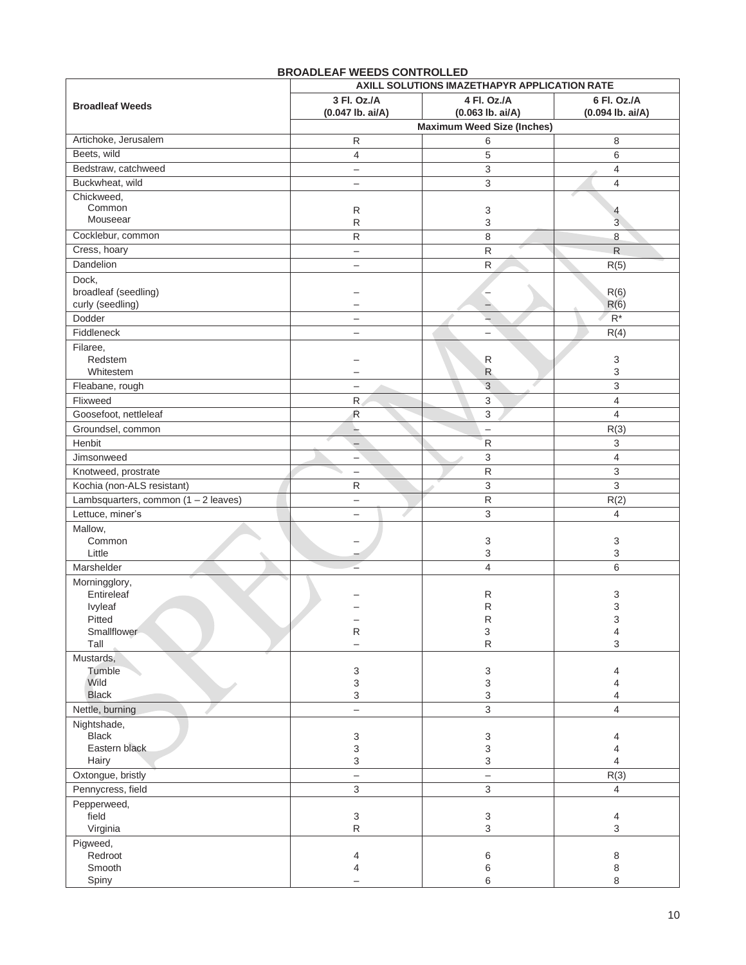|                                        | AXILL SOLUTIONS IMAZETHAPYR APPLICATION RATE |                                        |                     |
|----------------------------------------|----------------------------------------------|----------------------------------------|---------------------|
| <b>Broadleaf Weeds</b>                 | 3 Fl. Oz./A                                  | 4 Fl. Oz./A                            | 6 Fl. Oz./A         |
|                                        | $(0.047$ lb. ai/A)                           | $(0.063$ lb. ai/A)                     | $(0.094$ lb. ai/A)  |
|                                        |                                              | <b>Maximum Weed Size (Inches)</b>      |                     |
| Artichoke, Jerusalem                   | ${\sf R}$                                    | 6                                      | 8                   |
| Beets, wild                            | $\overline{4}$                               | $\mathbf 5$                            | 6                   |
| Bedstraw, catchweed                    | $\qquad \qquad -$                            | $\ensuremath{\mathsf{3}}$              | $\overline{4}$      |
| Buckwheat, wild                        | $\overline{\phantom{0}}$                     | 3                                      | $\overline{4}$      |
| Chickweed,<br>Common                   | ${\sf R}$                                    | 3                                      |                     |
| Mouseear                               | $\mathsf{R}$                                 | 3                                      | 4<br>$\overline{3}$ |
| Cocklebur, common                      | ${\sf R}$                                    | 8                                      | 8                   |
| Cress, hoary                           | $\overline{\phantom{m}}$                     | R                                      | $\mathsf{R}$        |
| Dandelion                              | $\overline{\phantom{m}}$                     | ${\sf R}$                              | R(5)                |
| Dock,                                  |                                              |                                        |                     |
| broadleaf (seedling)                   |                                              | -                                      | R(6)                |
| curly (seedling)                       |                                              | -                                      | R(6)                |
| Dodder                                 | $\qquad \qquad -$                            | $\rightarrow$                          | $R^*$               |
| Fiddleneck                             | $\overline{\phantom{0}}$                     |                                        | R(4)                |
| Filaree,                               |                                              |                                        |                     |
| Redstem                                |                                              | R                                      | 3                   |
| Whitestem                              |                                              | R                                      | 3                   |
| Fleabane, rough                        | $\overline{\phantom{m}}$                     | 3<br>s                                 | 3                   |
| Flixweed                               | $\mathsf{R}$                                 | 3                                      | $\overline{4}$      |
| Goosefoot, nettleleaf                  | R                                            | 3                                      | 4                   |
| Groundsel, common                      | $-$                                          | $\qquad \qquad -$                      | R(3)                |
| Henbit                                 |                                              | ${\sf R}$                              | 3                   |
| Jimsonweed                             | $\qquad \qquad -$                            | 3                                      | $\overline{4}$      |
| Knotweed, prostrate                    | $\overline{\phantom{0}}$                     | ${\sf R}$                              | 3                   |
| Kochia (non-ALS resistant)             | ${\sf R}$                                    | 3<br>${\sf R}$                         | 3                   |
| Lambsquarters, common $(1 - 2$ leaves) | $\overline{\phantom{0}}$                     |                                        | R(2)                |
| Lettuce, miner's                       | $\overline{\phantom{0}}$                     | 3                                      | 4                   |
| Mallow,<br>Common                      |                                              | 3                                      | 3                   |
| Little                                 |                                              | 3                                      | 3                   |
| Marshelder                             |                                              | $\overline{4}$                         | 6                   |
| Morningglory,                          |                                              |                                        |                     |
| Entireleaf                             |                                              | R                                      | 3                   |
| Ivyleaf                                |                                              | R                                      | 3                   |
| Pitted                                 |                                              | R                                      | 3                   |
| Smallflower<br>Tall                    | ${\sf R}$<br>$\overline{\phantom{0}}$        | $\ensuremath{\mathsf{3}}$<br>${\sf R}$ | 4<br>3              |
|                                        |                                              |                                        |                     |
| Mustards,<br>Tumble                    | 3                                            | 3                                      | 4                   |
| Wild                                   | $\ensuremath{\mathsf{3}}$                    | $\ensuremath{\mathsf{3}}$              | 4                   |
| <b>Black</b>                           | 3                                            | 3                                      | 4                   |
| Nettle, burning                        | $\overline{\phantom{0}}$                     | 3                                      | $\overline{4}$      |
| Nightshade,                            |                                              |                                        |                     |
| <b>Black</b>                           | 3                                            | 3                                      | 4                   |
| Eastern black                          | $\ensuremath{\mathsf{3}}$                    | $\ensuremath{\mathsf{3}}$              | 4                   |
| Hairy                                  | 3                                            | 3                                      | $\overline{4}$      |
| Oxtongue, bristly                      | $\overline{\phantom{0}}$                     | $\overline{a}$                         | R(3)                |
| Pennycress, field                      | $\mathfrak{S}$                               | $\mathfrak{Z}$                         | 4                   |
| Pepperweed,<br>field                   | $\ensuremath{\mathsf{3}}$                    |                                        |                     |
| Virginia                               | ${\sf R}$                                    | 3<br>$\ensuremath{\mathsf{3}}$         | 4<br>3              |
| Pigweed,                               |                                              |                                        |                     |
| Redroot                                | 4                                            | 6                                      | 8                   |
| Smooth                                 | 4                                            | 6                                      | 8                   |
| Spiny                                  |                                              | 6                                      | 8                   |

#### **BROADLEAF WEEDS CONTROLLED**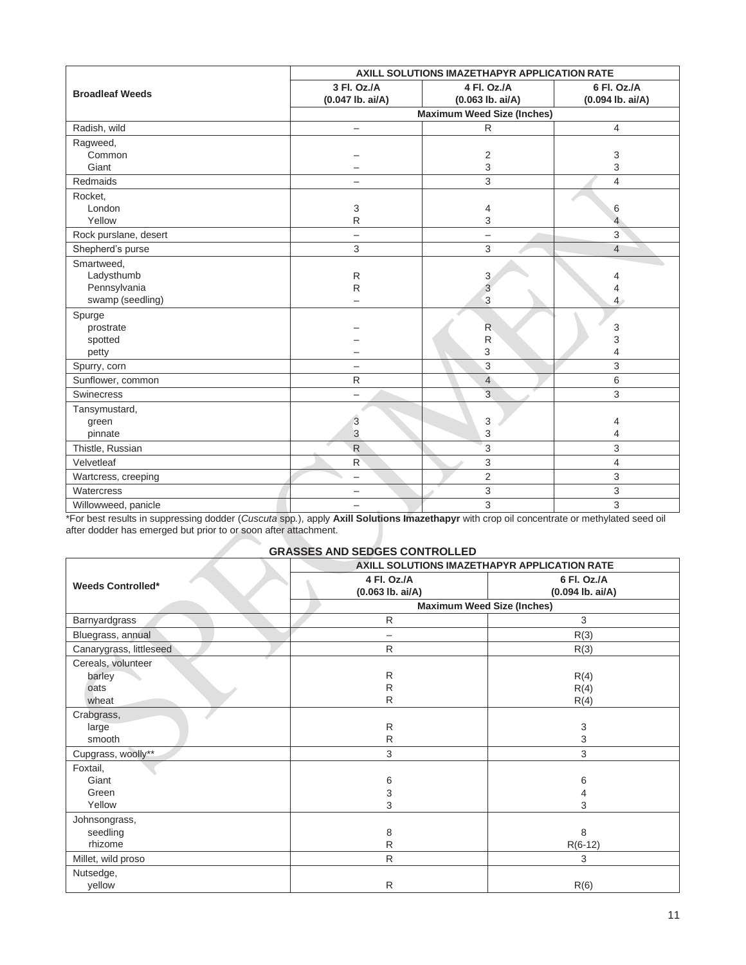|                        | AXILL SOLUTIONS IMAZETHAPYR APPLICATION RATE |                          |                    |
|------------------------|----------------------------------------------|--------------------------|--------------------|
| <b>Broadleaf Weeds</b> | 3 Fl. Oz./A                                  | 4 Fl. Oz./A              | 6 Fl. Oz./A        |
|                        | (0.047 lb. ai/A)                             | $(0.063$ lb. ai/A)       | $(0.094$ lb. ai/A) |
|                        | <b>Maximum Weed Size (Inches)</b>            |                          |                    |
| Radish, wild           | $\qquad \qquad -$                            | $\mathsf{R}$             | 4                  |
| Ragweed,               |                                              |                          |                    |
| Common                 |                                              | $\overline{2}$           | 3                  |
| Giant                  |                                              | 3                        | 3                  |
| Redmaids               | $\overline{\phantom{0}}$                     | 3                        | $\overline{4}$     |
| Rocket,                |                                              |                          |                    |
| London                 | 3                                            | 4                        | 6                  |
| Yellow                 | ${\sf R}$                                    | 3                        | 4                  |
| Rock purslane, desert  | $\overline{\phantom{0}}$                     | $\overline{\phantom{m}}$ | 3                  |
| Shepherd's purse       | 3                                            | 3                        | $\overline{4}$     |
| Smartweed,             |                                              |                          |                    |
| Ladysthumb             | R                                            | 3                        | 4                  |
| Pennsylvania           | ${\sf R}$                                    | $\overline{3}$           | 4                  |
| swamp (seedling)       |                                              | 3                        | 4 <sup>°</sup>     |
| Spurge                 |                                              |                          |                    |
| prostrate              |                                              | $\mathsf{R}$             | 3                  |
| spotted                |                                              | ${\sf R}$                | 3                  |
| petty                  |                                              | 3                        | $\overline{4}$     |
| Spurry, corn           | $\overline{\phantom{0}}$                     | 3                        | 3                  |
| Sunflower, common      | R                                            | $\overline{4}$           | 6                  |
| <b>Swinecress</b>      | $\overline{\phantom{0}}$                     | $\overline{3}$           | $\overline{3}$     |
| Tansymustard,          |                                              |                          |                    |
| green                  | 3                                            | 3                        | 4                  |
| pinnate                | 3                                            | 3                        | 4                  |
| Thistle, Russian       | $\mathsf{R}$                                 | 3                        | 3                  |
| Velvetleaf             | R                                            | 3                        | $\overline{4}$     |
| Wartcress, creeping    | $\overline{\phantom{0}}$                     | $\overline{2}$           | 3                  |
| Watercress             | —                                            | 3                        | 3                  |
| Willowweed, panicle    | $\overline{\phantom{0}}$                     | 3                        | 3                  |

\*For best results in suppressing dodder (*Cuscuta* spp*.*), apply **Axill Solutions Imazethapyr** with crop oil concentrate or methylated seed oil after dodder has emerged but prior to or soon after attachment.

#### **GRASSES AND SEDGES CONTROLLED**

|                          | AXILL SOLUTIONS IMAZETHAPYR APPLICATION RATE |                  |  |
|--------------------------|----------------------------------------------|------------------|--|
| <b>Weeds Controlled*</b> | 4 Fl. Oz./A                                  | 6 Fl. Oz./A      |  |
|                          | $(0.063$ lb. ai/A)                           | (0.094 lb. ai/A) |  |
|                          | <b>Maximum Weed Size (Inches)</b>            |                  |  |
| Barnyardgrass            | R                                            | 3                |  |
| Bluegrass, annual        | $\overline{\phantom{0}}$                     | R(3)             |  |
| Canarygrass, littleseed  | $\mathsf{R}$                                 | R(3)             |  |
| Cereals, volunteer       |                                              |                  |  |
| barley                   | R                                            | R(4)             |  |
| oats                     | R                                            | R(4)             |  |
| wheat                    | $\mathsf{R}$                                 | R(4)             |  |
| Crabgrass,               |                                              |                  |  |
| large                    | $\mathsf{R}$                                 | 3                |  |
| smooth                   | R                                            | 3                |  |
| Cupgrass, woolly**       | 3                                            | 3                |  |
| Foxtail,                 |                                              |                  |  |
| Giant                    | 6                                            | 6                |  |
| Green                    | 3                                            | 4                |  |
| Yellow                   | 3                                            | 3                |  |
| Johnsongrass,            |                                              |                  |  |
| seedling                 | 8                                            | 8                |  |
| rhizome                  | R                                            | $R(6-12)$        |  |
| Millet, wild proso       | ${\sf R}$                                    | 3                |  |
| Nutsedge,                |                                              |                  |  |
| yellow                   | $\mathsf{R}$                                 | R(6)             |  |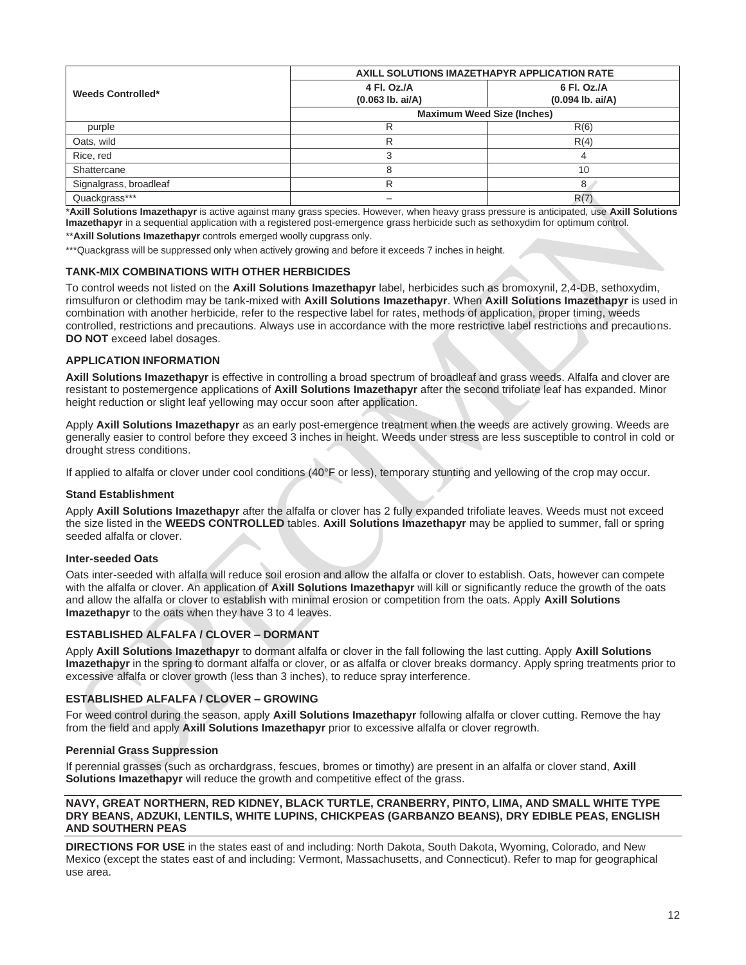|                          | AXILL SOLUTIONS IMAZETHAPYR APPLICATION RATE                                  |             |  |
|--------------------------|-------------------------------------------------------------------------------|-------------|--|
| <b>Weeds Controlled*</b> | 4 Fl. Oz./A                                                                   | 6 Fl. Oz./A |  |
|                          | $(0.063$ lb. ai/A)<br>$(0.094$ lb. ai/A)<br><b>Maximum Weed Size (Inches)</b> |             |  |
| purple                   |                                                                               | R(6)        |  |
| Oats, wild               |                                                                               | R(4)        |  |
| Rice, red                |                                                                               |             |  |
| Shattercane              |                                                                               | 10          |  |
| Signalgrass, broadleaf   |                                                                               | 8           |  |
| Quackgrass***            |                                                                               | R(7)        |  |

\***Axill Solutions Imazethapyr** is active against many grass species. However, when heavy grass pressure is anticipated, use **Axill Solutions Imazethapyr** in a sequential application with a registered post-emergence grass herbicide such as sethoxydim for optimum control.

\*\***Axill Solutions Imazethapyr** controls emerged woolly cupgrass only.

\*\*\* Quackgrass will be suppressed only when actively growing and before it exceeds 7 inches in height.

#### **TANK-MIX COMBINATIONS WITH OTHER HERBICIDES**

To control weeds not listed on the **Axill Solutions Imazethapyr** label, herbicides such as bromoxynil, 2,4-DB, sethoxydim, rimsulfuron or clethodim may be tank-mixed with **Axill Solutions Imazethapyr**. When **Axill Solutions Imazethapyr** is used in combination with another herbicide, refer to the respective label for rates, methods of application, proper timing, weeds controlled, restrictions and precautions. Always use in accordance with the more restrictive label restrictions and precautions. **DO NOT** exceed label dosages.

#### **APPLICATION INFORMATION**

**Axill Solutions Imazethapyr** is effective in controlling a broad spectrum of broadleaf and grass weeds. Alfalfa and clover are resistant to postemergence applications of **Axill Solutions Imazethapyr** after the second trifoliate leaf has expanded. Minor height reduction or slight leaf yellowing may occur soon after application.

Apply **Axill Solutions Imazethapyr** as an early post-emergence treatment when the weeds are actively growing. Weeds are generally easier to control before they exceed 3 inches in height. Weeds under stress are less susceptible to control in cold or drought stress conditions.

If applied to alfalfa or clover under cool conditions (40°F or less), temporary stunting and yellowing of the crop may occur.

#### **Stand Establishment**

Apply **Axill Solutions Imazethapyr** after the alfalfa or clover has 2 fully expanded trifoliate leaves. Weeds must not exceed the size listed in the **WEEDS CONTROLLED** tables. **Axill Solutions Imazethapyr** may be applied to summer, fall or spring seeded alfalfa or clover.

#### **Inter-seeded Oats**

Oats inter-seeded with alfalfa will reduce soil erosion and allow the alfalfa or clover to establish. Oats, however can compete with the alfalfa or clover. An application of **Axill Solutions Imazethapyr** will kill or significantly reduce the growth of the oats and allow the alfalfa or clover to establish with minimal erosion or competition from the oats. Apply **Axill Solutions Imazethapyr** to the oats when they have 3 to 4 leaves.

#### **ESTABLISHED ALFALFA / CLOVER – DORMANT**

Apply **Axill Solutions Imazethapyr** to dormant alfalfa or clover in the fall following the last cutting. Apply **Axill Solutions Imazethapyr** in the spring to dormant alfalfa or clover, or as alfalfa or clover breaks dormancy. Apply spring treatments prior to excessive alfalfa or clover growth (less than 3 inches), to reduce spray interference.

#### **ESTABLISHED ALFALFA / CLOVER – GROWING**

For weed control during the season, apply **Axill Solutions Imazethapyr** following alfalfa or clover cutting. Remove the hay from the field and apply **Axill Solutions Imazethapyr** prior to excessive alfalfa or clover regrowth.

#### **Perennial Grass Suppression**

If perennial grasses (such as orchardgrass, fescues, bromes or timothy) are present in an alfalfa or clover stand, **Axill Solutions Imazethapyr** will reduce the growth and competitive effect of the grass.

#### **NAVY, GREAT NORTHERN, RED KIDNEY, BLACK TURTLE, CRANBERRY, PINTO, LIMA, AND SMALL WHITE TYPE DRY BEANS, ADZUKI, LENTILS, WHITE LUPINS, CHICKPEAS (GARBANZO BEANS), DRY EDIBLE PEAS, ENGLISH AND SOUTHERN PEAS**

**DIRECTIONS FOR USE** in the states east of and including: North Dakota, South Dakota, Wyoming, Colorado, and New Mexico (except the states east of and including: Vermont, Massachusetts, and Connecticut). Refer to map for geographical use area.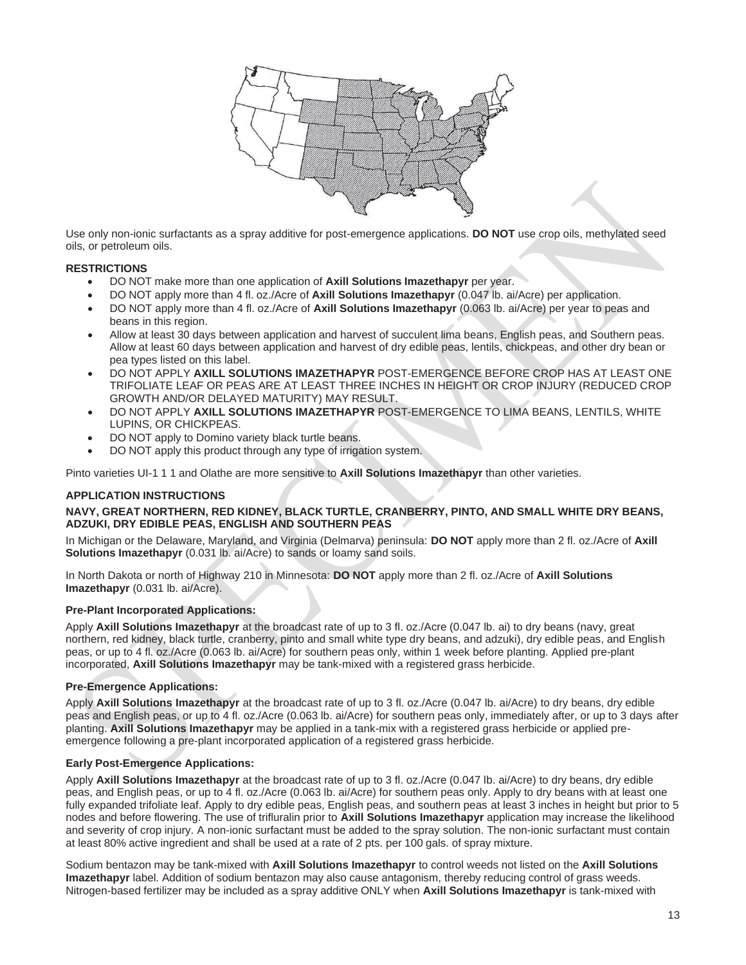

Use only non-ionic surfactants as a spray additive for post-emergence applications. **DO NOT** use crop oils, methylated seed oils, or petroleum oils.

#### **RESTRICTIONS**

- DO NOT make more than one application of **Axill Solutions Imazethapyr** per year.
- DO NOT apply more than 4 fl. oz./Acre of **Axill Solutions Imazethapyr** (0.047 lb. ai/Acre) per application.
- DO NOT apply more than 4 fl. oz./Acre of **Axill Solutions Imazethapyr** (0.063 lb. ai/Acre) per year to peas and beans in this region.
- Allow at least 30 days between application and harvest of succulent lima beans, English peas, and Southern peas. Allow at least 60 days between application and harvest of dry edible peas, lentils, chickpeas, and other dry bean or pea types listed on this label.
- DO NOT APPLY **AXILL SOLUTIONS IMAZETHAPYR** POST-EMERGENCE BEFORE CROP HAS AT LEAST ONE TRIFOLIATE LEAF OR PEAS ARE AT LEAST THREE INCHES IN HEIGHT OR CROP INJURY (REDUCED CROP GROWTH AND/OR DELAYED MATURITY) MAY RESULT.
- DO NOT APPLY **AXILL SOLUTIONS IMAZETHAPYR** POST-EMERGENCE TO LIMA BEANS, LENTILS, WHITE LUPINS, OR CHICKPEAS.
- DO NOT apply to Domino variety black turtle beans.
- DO NOT apply this product through any type of irrigation system.

Pinto varieties UI-1 1 1 and Olathe are more sensitive to **Axill Solutions Imazethapyr** than other varieties.

#### **APPLICATION INSTRUCTIONS**

#### **NAVY, GREAT NORTHERN, RED KIDNEY, BLACK TURTLE, CRANBERRY, PINTO, AND SMALL WHITE DRY BEANS, ADZUKI, DRY EDIBLE PEAS, ENGLISH AND SOUTHERN PEAS**

In Michigan or the Delaware, Maryland, and Virginia (Delmarva) peninsula: **DO NOT** apply more than 2 fl. oz./Acre of **Axill Solutions Imazethapyr** (0.031 lb. ai/Acre) to sands or loamy sand soils.

In North Dakota or north of Highway 210 in Minnesota: **DO NOT** apply more than 2 fl. oz./Acre of **Axill Solutions Imazethapyr** (0.031 lb. ai/Acre).

#### **Pre-Plant Incorporated Applications:**

Apply **Axill Solutions Imazethapyr** at the broadcast rate of up to 3 fl. oz./Acre (0.047 lb. ai) to dry beans (navy, great northern, red kidney, black turtle, cranberry, pinto and small white type dry beans, and adzuki), dry edible peas, and English peas, or up to 4 fl. oz./Acre (0.063 lb. ai/Acre) for southern peas only, within 1 week before planting. Applied pre-plant incorporated, **Axill Solutions Imazethapyr** may be tank-mixed with a registered grass herbicide.

#### **Pre-Emergence Applications:**

Apply **Axill Solutions Imazethapyr** at the broadcast rate of up to 3 fl. oz./Acre (0.047 lb. ai/Acre) to dry beans, dry edible peas and English peas, or up to 4 fl. oz./Acre (0.063 lb. ai/Acre) for southern peas only, immediately after, or up to 3 days after planting. **Axill Solutions Imazethapyr** may be applied in a tank-mix with a registered grass herbicide or applied preemergence following a pre-plant incorporated application of a registered grass herbicide.

#### **Early Post-Emergence Applications:**

Apply **Axill Solutions Imazethapyr** at the broadcast rate of up to 3 fl. oz./Acre (0.047 lb. ai/Acre) to dry beans, dry edible peas, and English peas, or up to 4 fl. oz./Acre (0.063 lb. ai/Acre) for southern peas only. Apply to dry beans with at least one fully expanded trifoliate leaf. Apply to dry edible peas, English peas, and southern peas at least 3 inches in height but prior to 5 nodes and before flowering. The use of trifluralin prior to **Axill Solutions Imazethapyr** application may increase the likelihood and severity of crop injury. A non-ionic surfactant must be added to the spray solution. The non-ionic surfactant must contain at least 80% active ingredient and shall be used at a rate of 2 pts. per 100 gals. of spray mixture.

Sodium bentazon may be tank-mixed with **Axill Solutions Imazethapyr** to control weeds not listed on the **Axill Solutions Imazethapyr** label. Addition of sodium bentazon may also cause antagonism, thereby reducing control of grass weeds. Nitrogen-based fertilizer may be included as a spray additive ONLY when **Axill Solutions Imazethapyr** is tank-mixed with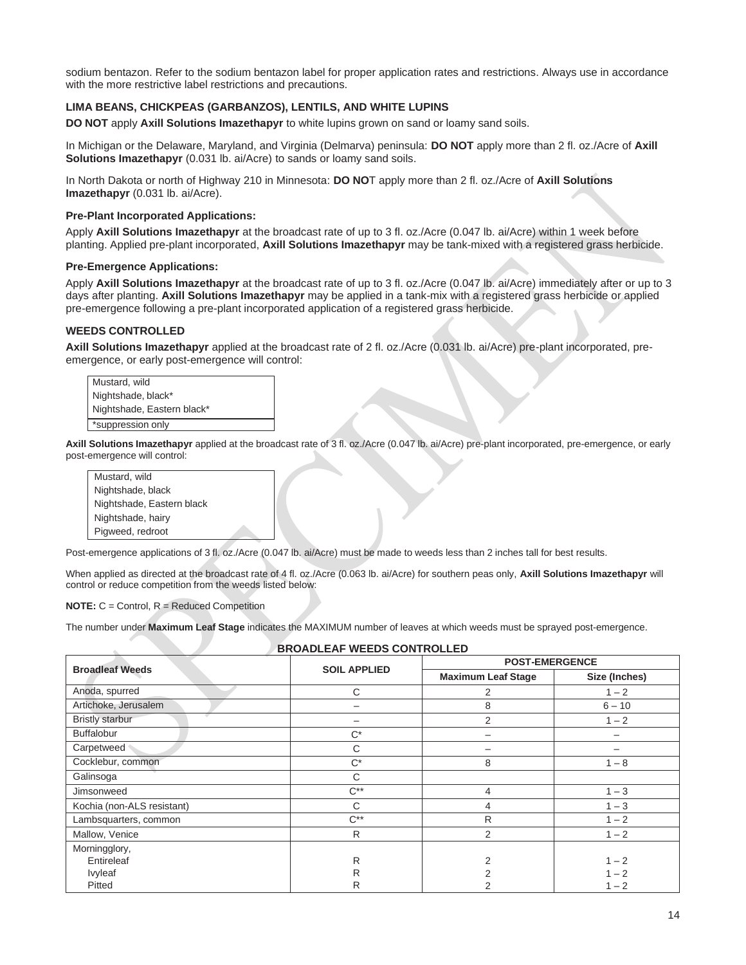sodium bentazon. Refer to the sodium bentazon label for proper application rates and restrictions. Always use in accordance with the more restrictive label restrictions and precautions.

#### **LIMA BEANS, CHICKPEAS (GARBANZOS), LENTILS, AND WHITE LUPINS**

**DO NOT** apply **Axill Solutions Imazethapyr** to white lupins grown on sand or loamy sand soils.

In Michigan or the Delaware, Maryland, and Virginia (Delmarva) peninsula: **DO NOT** apply more than 2 fl. oz./Acre of **Axill Solutions Imazethapyr** (0.031 lb. ai/Acre) to sands or loamy sand soils.

In North Dakota or north of Highway 210 in Minnesota: **DO NO**T apply more than 2 fl. oz./Acre of **Axill Solutions Imazethapyr** (0.031 lb. ai/Acre).

#### **Pre-Plant Incorporated Applications:**

Apply **Axill Solutions Imazethapyr** at the broadcast rate of up to 3 fl. oz./Acre (0.047 lb. ai/Acre) within 1 week before planting. Applied pre-plant incorporated, **Axill Solutions Imazethapyr** may be tank-mixed with a registered grass herbicide.

#### **Pre-Emergence Applications:**

Apply **Axill Solutions Imazethapyr** at the broadcast rate of up to 3 fl. oz./Acre (0.047 lb. ai/Acre) immediately after or up to 3 days after planting. **Axill Solutions Imazethapyr** may be applied in a tank-mix with a registered grass herbicide or applied pre-emergence following a pre-plant incorporated application of a registered grass herbicide.

#### **WEEDS CONTROLLED**

**Axill Solutions Imazethapyr** applied at the broadcast rate of 2 fl. oz./Acre (0.031 lb. ai/Acre) pre-plant incorporated, preemergence, or early post-emergence will control:

| Mustard, wild              |
|----------------------------|
| Nightshade, black*         |
| Nightshade, Eastern black* |
| *suppression only          |

**Axill Solutions Imazethapyr** applied at the broadcast rate of 3 fl. oz./Acre (0.047 lb. ai/Acre) pre-plant incorporated, pre-emergence, or early post-emergence will control:

| Mustard, wild             |
|---------------------------|
| Nightshade, black         |
| Nightshade, Eastern black |
| Nightshade, hairy         |
| Pigweed, redroot          |

Post-emergence applications of 3 fl. oz./Acre (0.047 lb. ai/Acre) must be made to weeds less than 2 inches tall for best results.

When applied as directed at the broadcast rate of 4 fl. oz./Acre (0.063 lb. ai/Acre) for southern peas only, **Axill Solutions Imazethapyr** will control or reduce competition from the weeds listed below:

**NOTE:** C = Control, R = Reduced Competition

The number under **Maximum Leaf Stage** indicates the MAXIMUM number of leaves at which weeds must be sprayed post-emergence.

#### **BROADLEAF WEEDS CONTROLLED**

|                            | <b>SOIL APPLIED</b> | <b>POST-EMERGENCE</b>     |               |
|----------------------------|---------------------|---------------------------|---------------|
| <b>Broadleaf Weeds</b>     |                     | <b>Maximum Leaf Stage</b> | Size (Inches) |
| Anoda, spurred             | C                   | 2                         | $1 - 2$       |
| Artichoke, Jerusalem       | -                   | 8                         | $6 - 10$      |
| <b>Bristly starbur</b>     |                     | 2                         | $1 - 2$       |
| <b>Buffalobur</b>          | $C^*$               |                           | —             |
| Carpetweed                 | C                   |                           |               |
| Cocklebur, common          | $C^*$               | 8                         | $1 - 8$       |
| Galinsoga                  | C                   |                           |               |
| Jimsonweed                 | $C^{**}$            | 4                         | $1 - 3$       |
| Kochia (non-ALS resistant) | C                   | 4                         | $1 - 3$       |
| Lambsquarters, common      | $C^{**}$            | R                         | $1 - 2$       |
| Mallow, Venice             | R                   | 2                         | $1 - 2$       |
| Morningglory,              |                     |                           |               |
| Entireleaf                 | R                   | 2                         | $1 - 2$       |
| Ivyleaf                    | R                   |                           | $1 - 2$       |
| Pitted                     | R                   | 2                         | $1 - 2$       |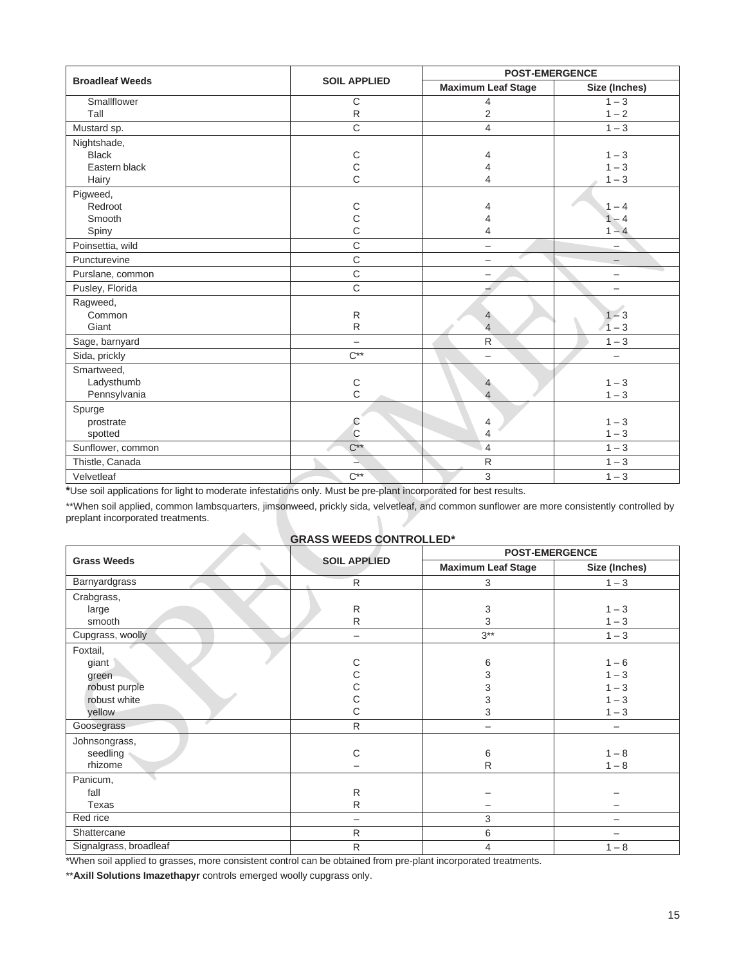| <b>Broadleaf Weeds</b> | <b>SOIL APPLIED</b> |                           | <b>POST-EMERGENCE</b>    |  |
|------------------------|---------------------|---------------------------|--------------------------|--|
|                        |                     | <b>Maximum Leaf Stage</b> | Size (Inches)            |  |
| Smallflower            | C                   | 4                         | $1 - 3$                  |  |
| Tall                   | $\mathsf{R}$        | $\overline{2}$            | $1 - 2$                  |  |
| Mustard sp.            | $\mathsf{C}$        | 4                         | $1 - 3$                  |  |
| Nightshade,            |                     |                           |                          |  |
| <b>Black</b>           | $\mathsf C$         | 4                         | $1 - 3$                  |  |
| Eastern black          | $\mathsf C$         | 4                         | $1 - 3$                  |  |
| Hairy                  | $\mathsf{C}$        | 4                         | $1 - 3$                  |  |
| Pigweed,               |                     |                           |                          |  |
| Redroot                | С                   | 4                         | $1 - 4$                  |  |
| Smooth                 | С                   | 4                         | $-4$                     |  |
| Spiny                  | C                   | 4                         | $1 - 4$                  |  |
| Poinsettia, wild       | $\overline{C}$      | $\overline{\phantom{0}}$  | —                        |  |
| Puncturevine           | C                   | $\overline{\phantom{0}}$  | $\overline{\phantom{0}}$ |  |
| Purslane, common       | C                   | —                         | $\overline{\phantom{0}}$ |  |
| Pusley, Florida        | C                   |                           | $\overline{\phantom{0}}$ |  |
| Ragweed,               |                     |                           |                          |  |
| Common                 | R                   | $\overline{4}$            | $1 - 3$                  |  |
| Giant                  | $\mathsf{R}$        | $\overline{4}$            | $1 - 3$                  |  |
| Sage, barnyard         |                     | $\mathsf{R}$              | $1 - 3$                  |  |
| Sida, prickly          | $C^{**}$            | $\overline{\phantom{0}}$  | $\overline{\phantom{0}}$ |  |
| Smartweed,             |                     |                           |                          |  |
| Ladysthumb             | $\mathsf C$         | 4                         | $1 - 3$                  |  |
| Pennsylvania           | $\mathsf{C}$        | $\overline{4}$            | $1 - 3$                  |  |
| Spurge                 |                     |                           |                          |  |
| prostrate              | С                   | 4                         | $1 - 3$                  |  |
| spotted                | C                   | 4                         | $1 - 3$                  |  |
| Sunflower, common      | $C^{**}$            | $\overline{4}$            | $1 - 3$                  |  |
| Thistle, Canada        | ∸                   | $\mathsf{R}$              | $1 - 3$                  |  |
| Velvetleaf             | $C^{**}$            | 3                         | $1 - 3$                  |  |

**\***Use soil applications for light to moderate infestations only. Must be pre-plant incorporated for best results.

**Allen** 

\*\*When soil applied, common lambsquarters, jimsonweed, prickly sida, velvetleaf, and common sunflower are more consistently controlled by preplant incorporated treatments.

#### **GRASS WEEDS CONTROLLED\***

|                        | <b>SOIL APPLIED</b> | <b>POST-EMERGENCE</b>     |                          |
|------------------------|---------------------|---------------------------|--------------------------|
| <b>Grass Weeds</b>     |                     | <b>Maximum Leaf Stage</b> | Size (Inches)            |
| Barnyardgrass          | $\mathsf{R}$        | 3                         | $1 - 3$                  |
| Crabgrass,             |                     |                           |                          |
| large                  | ${\sf R}$           | 3                         | $1 - 3$                  |
| smooth                 | $\mathsf{R}$        | 3                         | $1 - 3$                  |
| Cupgrass, woolly       |                     | $3***$                    | $1 - 3$                  |
| Foxtail,               |                     |                           |                          |
| giant                  | С                   | 6                         | $1 - 6$                  |
| green                  | С                   | 3                         | $1 - 3$                  |
| robust purple          | С                   | 3                         | $1 - 3$                  |
| robust white           | С                   | 3                         | $1 - 3$                  |
| yellow                 | С                   | 3                         | $1 - 3$                  |
| Goosegrass             | R                   | $\overline{\phantom{0}}$  | $\overline{\phantom{m}}$ |
| Johnsongrass,          |                     |                           |                          |
| seedling               | C                   | 6                         | $1 - 8$                  |
| rhizome                |                     | R                         | $1 - 8$                  |
| Panicum,               |                     |                           |                          |
| fall                   | R                   |                           |                          |
| Texas                  | $\mathsf{R}$        |                           | —                        |
| Red rice               |                     | 3                         |                          |
| Shattercane            | R.                  | 6                         |                          |
| Signalgrass, broadleaf | $\mathsf{R}$        | $\overline{4}$            | $1 - 8$                  |

\*When soil applied to grasses, more consistent control can be obtained from pre-plant incorporated treatments.

\*\***Axill Solutions Imazethapyr** controls emerged woolly cupgrass only.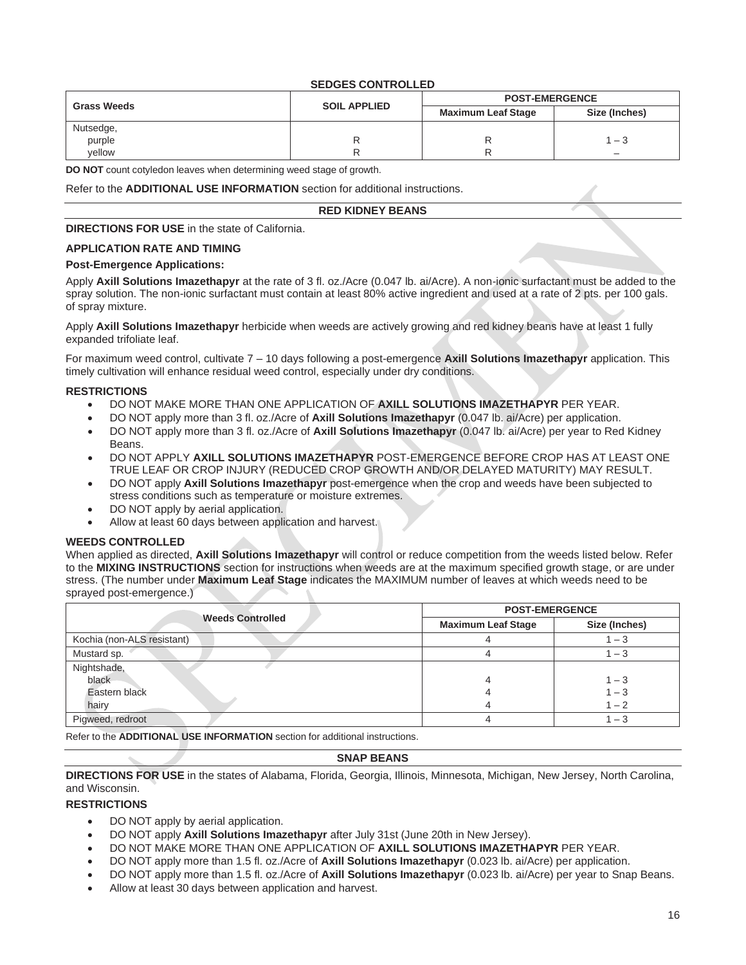#### **SEDGES CONTROLLED**

|                    |                     | <b>POST-EMERGENCE</b>     |               |
|--------------------|---------------------|---------------------------|---------------|
| <b>Grass Weeds</b> | <b>SOIL APPLIED</b> | <b>Maximum Leaf Stage</b> | Size (Inches) |
| Nutsedge,          |                     |                           |               |
| purple             |                     |                           | $-3$          |
| vellow             |                     |                           |               |

**DO NOT** count cotyledon leaves when determining weed stage of growth.

Refer to the **ADDITIONAL USE INFORMATION** section for additional instructions.

#### **RED KIDNEY BEANS**

#### **DIRECTIONS FOR USE** in the state of California.

#### **APPLICATION RATE AND TIMING**

#### **Post-Emergence Applications:**

Apply **Axill Solutions Imazethapyr** at the rate of 3 fl. oz./Acre (0.047 lb. ai/Acre). A non-ionic surfactant must be added to the spray solution. The non-ionic surfactant must contain at least 80% active ingredient and used at a rate of 2 pts. per 100 gals. of spray mixture.

Apply **Axill Solutions Imazethapyr** herbicide when weeds are actively growing and red kidney beans have at least 1 fully expanded trifoliate leaf.

For maximum weed control, cultivate 7 – 10 days following a post-emergence **Axill Solutions Imazethapyr** application. This timely cultivation will enhance residual weed control, especially under dry conditions.

#### **RESTRICTIONS**

- DO NOT MAKE MORE THAN ONE APPLICATION OF **AXILL SOLUTIONS IMAZETHAPYR** PER YEAR.
- DO NOT apply more than 3 fl. oz./Acre of **Axill Solutions Imazethapyr** (0.047 lb. ai/Acre) per application.
- DO NOT apply more than 3 fl. oz./Acre of **Axill Solutions Imazethapyr** (0.047 lb. ai/Acre) per year to Red Kidney Beans.
- DO NOT APPLY **AXILL SOLUTIONS IMAZETHAPYR** POST-EMERGENCE BEFORE CROP HAS AT LEAST ONE TRUE LEAF OR CROP INJURY (REDUCED CROP GROWTH AND/OR DELAYED MATURITY) MAY RESULT.
- DO NOT apply **Axill Solutions Imazethapyr** post-emergence when the crop and weeds have been subjected to stress conditions such as temperature or moisture extremes.
- DO NOT apply by aerial application.
- Allow at least 60 days between application and harvest.

#### **WEEDS CONTROLLED**

When applied as directed, **Axill Solutions Imazethapyr** will control or reduce competition from the weeds listed below. Refer to the **MIXING INSTRUCTIONS** section for instructions when weeds are at the maximum specified growth stage, or are under stress. (The number under **Maximum Leaf Stage** indicates the MAXIMUM number of leaves at which weeds need to be sprayed post-emergence.)

|                            | <b>POST-EMERGENCE</b>     |               |  |  |
|----------------------------|---------------------------|---------------|--|--|
| <b>Weeds Controlled</b>    | <b>Maximum Leaf Stage</b> | Size (Inches) |  |  |
| Kochia (non-ALS resistant) |                           | $1 - 3$       |  |  |
| Mustard sp.                |                           | $1 - 3$       |  |  |
| Nightshade,                |                           |               |  |  |
| black                      |                           | $1 - 3$       |  |  |
| Eastern black              |                           | $1 - 3$       |  |  |
| hairy                      |                           | $1 - 2$       |  |  |
| Pigweed, redroot           |                           | $1 - 3$       |  |  |

Refer to the **ADDITIONAL USE INFORMATION** section for additional instructions.

#### **SNAP BEANS**

**DIRECTIONS FOR USE** in the states of Alabama, Florida, Georgia, Illinois, Minnesota, Michigan, New Jersey, North Carolina, and Wisconsin.

#### **RESTRICTIONS**

- DO NOT apply by aerial application.
- DO NOT apply **Axill Solutions Imazethapyr** after July 31st (June 20th in New Jersey).
- DO NOT MAKE MORE THAN ONE APPLICATION OF **AXILL SOLUTIONS IMAZETHAPYR** PER YEAR.
- DO NOT apply more than 1.5 fl. oz./Acre of **Axill Solutions Imazethapyr** (0.023 lb. ai/Acre) per application.
- DO NOT apply more than 1.5 fl. oz./Acre of **Axill Solutions Imazethapyr** (0.023 lb. ai/Acre) per year to Snap Beans.
- Allow at least 30 days between application and harvest.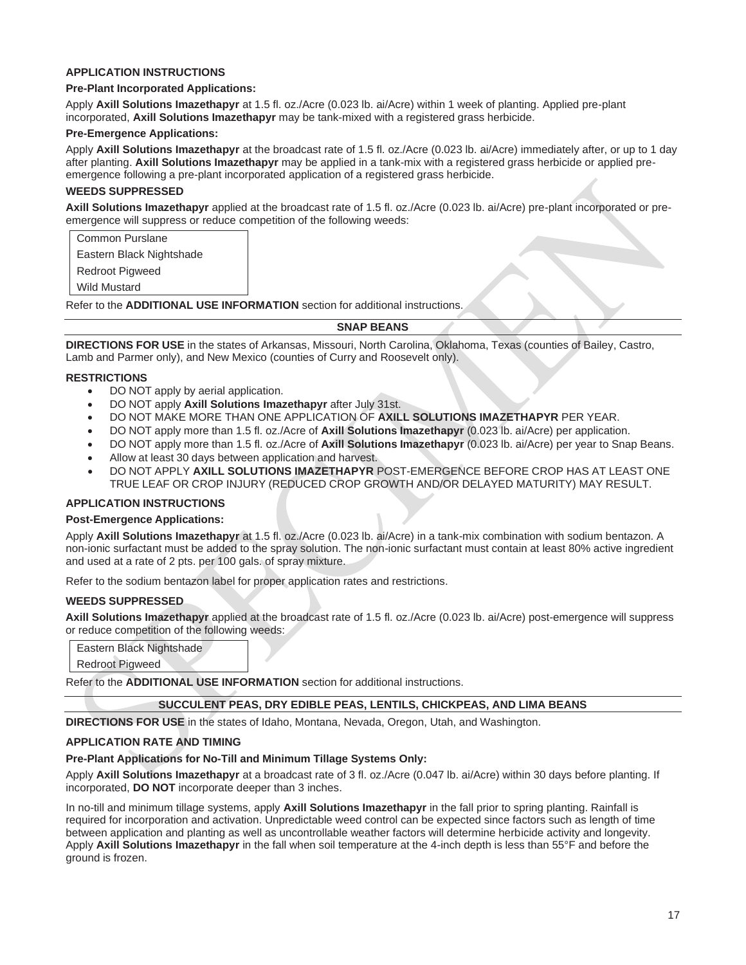#### **APPLICATION INSTRUCTIONS**

#### **Pre-Plant Incorporated Applications:**

Apply **Axill Solutions Imazethapyr** at 1.5 fl. oz./Acre (0.023 lb. ai/Acre) within 1 week of planting. Applied pre-plant incorporated, **Axill Solutions Imazethapyr** may be tank-mixed with a registered grass herbicide.

#### **Pre-Emergence Applications:**

Apply **Axill Solutions Imazethapyr** at the broadcast rate of 1.5 fl. oz./Acre (0.023 lb. ai/Acre) immediately after, or up to 1 day after planting. **Axill Solutions Imazethapyr** may be applied in a tank-mix with a registered grass herbicide or applied preemergence following a pre-plant incorporated application of a registered grass herbicide.

#### **WEEDS SUPPRESSED**

**Axill Solutions Imazethapyr** applied at the broadcast rate of 1.5 fl. oz./Acre (0.023 lb. ai/Acre) pre-plant incorporated or preemergence will suppress or reduce competition of the following weeds:

Common Purslane

Eastern Black Nightshade

Redroot Pigweed

Wild Mustard

Refer to the **ADDITIONAL USE INFORMATION** section for additional instructions.

#### **SNAP BEANS**

**DIRECTIONS FOR USE** in the states of Arkansas, Missouri, North Carolina, Oklahoma, Texas (counties of Bailey, Castro, Lamb and Parmer only), and New Mexico (counties of Curry and Roosevelt only).

#### **RESTRICTIONS**

- DO NOT apply by aerial application.
- DO NOT apply **Axill Solutions Imazethapyr** after July 31st.
- DO NOT MAKE MORE THAN ONE APPLICATION OF **AXILL SOLUTIONS IMAZETHAPYR** PER YEAR.
- DO NOT apply more than 1.5 fl. oz./Acre of **Axill Solutions Imazethapyr** (0.023 lb. ai/Acre) per application.
- DO NOT apply more than 1.5 fl. oz./Acre of **Axill Solutions Imazethapyr** (0.023 lb. ai/Acre) per year to Snap Beans.
- Allow at least 30 days between application and harvest.
- DO NOT APPLY **AXILL SOLUTIONS IMAZETHAPYR** POST-EMERGENCE BEFORE CROP HAS AT LEAST ONE TRUE LEAF OR CROP INJURY (REDUCED CROP GROWTH AND/OR DELAYED MATURITY) MAY RESULT.

#### **APPLICATION INSTRUCTIONS**

#### **Post-Emergence Applications:**

Apply **Axill Solutions Imazethapyr** at 1.5 fl. oz./Acre (0.023 lb. ai/Acre) in a tank-mix combination with sodium bentazon. A non-ionic surfactant must be added to the spray solution. The non-ionic surfactant must contain at least 80% active ingredient and used at a rate of 2 pts. per 100 gals. of spray mixture.

Refer to the sodium bentazon label for proper application rates and restrictions.

#### **WEEDS SUPPRESSED**

**Axill Solutions Imazethapyr** applied at the broadcast rate of 1.5 fl. oz./Acre (0.023 lb. ai/Acre) post-emergence will suppress or reduce competition of the following weeds:

Eastern Black Nightshade

Redroot Pigweed

Refer to the **ADDITIONAL USE INFORMATION** section for additional instructions.

#### **SUCCULENT PEAS, DRY EDIBLE PEAS, LENTILS, CHICKPEAS, AND LIMA BEANS**

**DIRECTIONS FOR USE** in the states of Idaho, Montana, Nevada, Oregon, Utah, and Washington.

#### **APPLICATION RATE AND TIMING**

#### **Pre-Plant Applications for No-Till and Minimum Tillage Systems Only:**

Apply **Axill Solutions Imazethapyr** at a broadcast rate of 3 fl. oz./Acre (0.047 lb. ai/Acre) within 30 days before planting. If incorporated, **DO NOT** incorporate deeper than 3 inches.

In no-till and minimum tillage systems, apply **Axill Solutions Imazethapyr** in the fall prior to spring planting. Rainfall is required for incorporation and activation. Unpredictable weed control can be expected since factors such as length of time between application and planting as well as uncontrollable weather factors will determine herbicide activity and longevity. Apply **Axill Solutions Imazethapyr** in the fall when soil temperature at the 4-inch depth is less than 55°F and before the ground is frozen.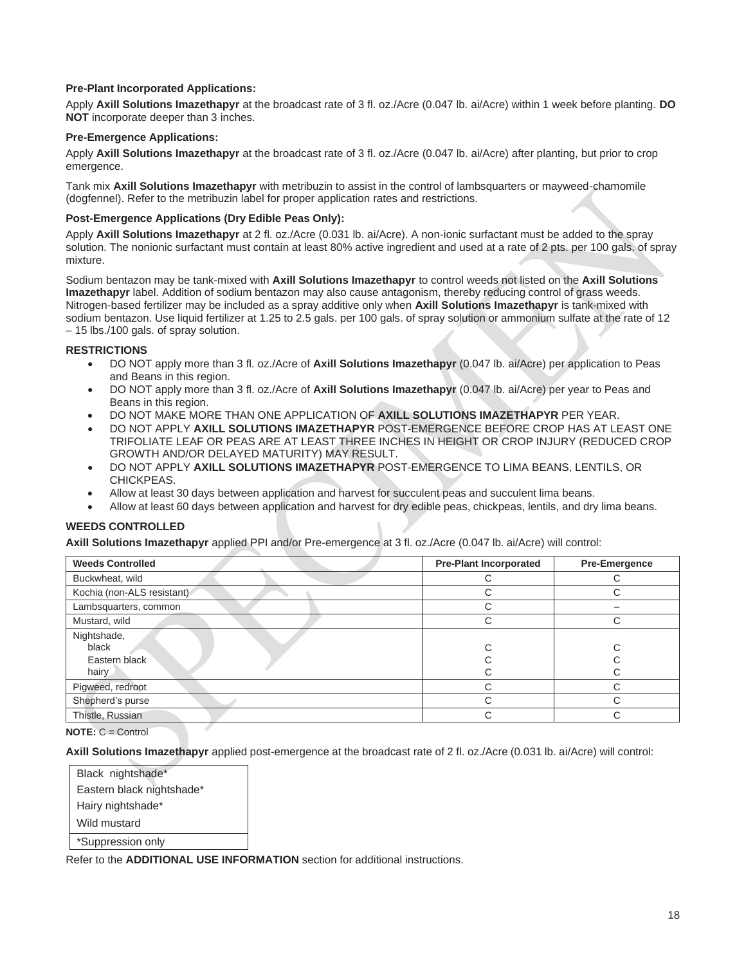#### **Pre-Plant Incorporated Applications:**

Apply **Axill Solutions Imazethapyr** at the broadcast rate of 3 fl. oz./Acre (0.047 lb. ai/Acre) within 1 week before planting. **DO NOT** incorporate deeper than 3 inches.

#### **Pre-Emergence Applications:**

Apply **Axill Solutions Imazethapyr** at the broadcast rate of 3 fl. oz./Acre (0.047 lb. ai/Acre) after planting, but prior to crop emergence.

Tank mix **Axill Solutions Imazethapyr** with metribuzin to assist in the control of lambsquarters or mayweed-chamomile (dogfennel). Refer to the metribuzin label for proper application rates and restrictions.

#### **Post-Emergence Applications (Dry Edible Peas Only):**

Apply **Axill Solutions Imazethapyr** at 2 fl. oz./Acre (0.031 lb. ai/Acre). A non-ionic surfactant must be added to the spray solution. The nonionic surfactant must contain at least 80% active ingredient and used at a rate of 2 pts. per 100 gals. of spray mixture.

Sodium bentazon may be tank-mixed with **Axill Solutions Imazethapyr** to control weeds not listed on the **Axill Solutions Imazethapyr** label. Addition of sodium bentazon may also cause antagonism, thereby reducing control of grass weeds. Nitrogen-based fertilizer may be included as a spray additive only when **Axill Solutions Imazethapyr** is tank-mixed with sodium bentazon. Use liquid fertilizer at 1.25 to 2.5 gals. per 100 gals. of spray solution or ammonium sulfate at the rate of 12 – 15 lbs./100 gals. of spray solution.

#### **RESTRICTIONS**

- DO NOT apply more than 3 fl. oz./Acre of **Axill Solutions Imazethapyr** (0.047 lb. ai/Acre) per application to Peas and Beans in this region.
- DO NOT apply more than 3 fl. oz./Acre of **Axill Solutions Imazethapyr** (0.047 lb. ai/Acre) per year to Peas and Beans in this region.
- DO NOT MAKE MORE THAN ONE APPLICATION OF **AXILL SOLUTIONS IMAZETHAPYR** PER YEAR.
- DO NOT APPLY **AXILL SOLUTIONS IMAZETHAPYR** POST-EMERGENCE BEFORE CROP HAS AT LEAST ONE TRIFOLIATE LEAF OR PEAS ARE AT LEAST THREE INCHES IN HEIGHT OR CROP INJURY (REDUCED CROP GROWTH AND/OR DELAYED MATURITY) MAY RESULT.
- DO NOT APPLY **AXILL SOLUTIONS IMAZETHAPYR** POST-EMERGENCE TO LIMA BEANS, LENTILS, OR CHICKPEAS.
- Allow at least 30 days between application and harvest for succulent peas and succulent lima beans.
- Allow at least 60 days between application and harvest for dry edible peas, chickpeas, lentils, and dry lima beans.

#### **WEEDS CONTROLLED**

**Axill Solutions Imazethapyr** applied PPI and/or Pre-emergence at 3 fl. oz./Acre (0.047 lb. ai/Acre) will control:

| <b>Weeds Controlled</b>    | <b>Pre-Plant Incorporated</b> | Pre-Emergence |
|----------------------------|-------------------------------|---------------|
| Buckwheat, wild            |                               |               |
| Kochia (non-ALS resistant) | C                             |               |
| Lambsquarters, common      | C                             |               |
| Mustard, wild              | С                             |               |
| Nightshade,                |                               |               |
| black                      | C                             |               |
| Eastern black              |                               |               |
| hairy                      |                               |               |
| Pigweed, redroot           | r.                            |               |
| Shepherd's purse           | C.                            |               |
| Thistle, Russian           | C                             |               |

**NOTE:** C = Control

**Axill Solutions Imazethapyr** applied post-emergence at the broadcast rate of 2 fl. oz./Acre (0.031 lb. ai/Acre) will control:

| Black nightshade*         |
|---------------------------|
| Eastern black nightshade* |
| Hairy nightshade*         |
| Wild mustard              |
| *Suppression only         |

Refer to the **ADDITIONAL USE INFORMATION** section for additional instructions.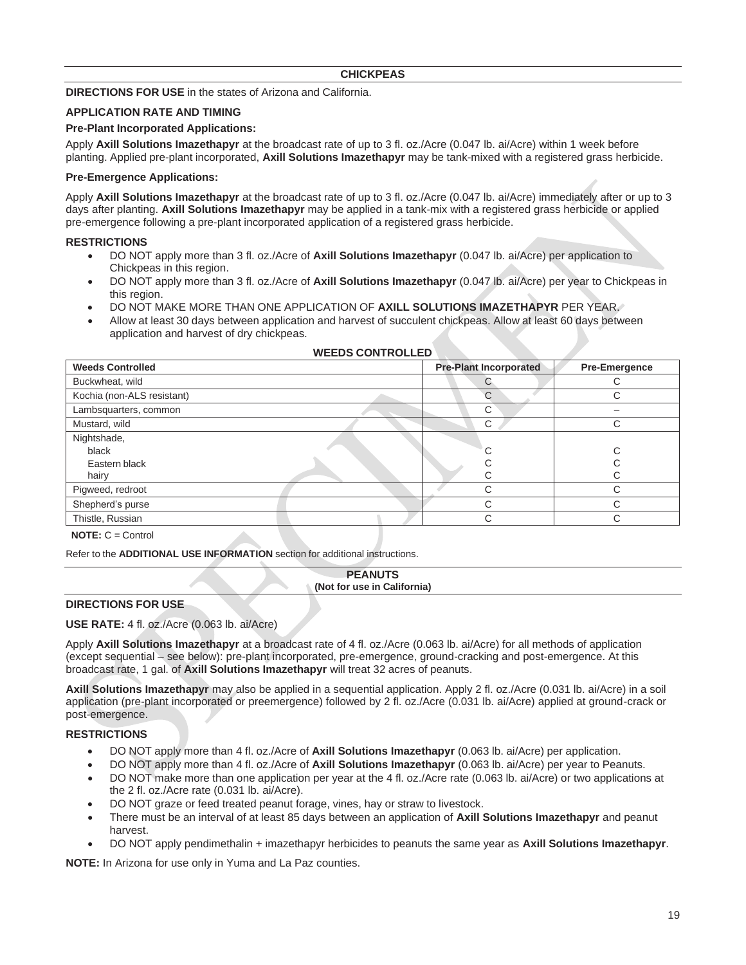#### **CHICKPEAS**

#### **DIRECTIONS FOR USE** in the states of Arizona and California.

#### **APPLICATION RATE AND TIMING**

#### **Pre-Plant Incorporated Applications:**

Apply **Axill Solutions Imazethapyr** at the broadcast rate of up to 3 fl. oz./Acre (0.047 lb. ai/Acre) within 1 week before planting. Applied pre-plant incorporated, **Axill Solutions Imazethapyr** may be tank-mixed with a registered grass herbicide.

#### **Pre-Emergence Applications:**

Apply **Axill Solutions Imazethapyr** at the broadcast rate of up to 3 fl. oz./Acre (0.047 lb. ai/Acre) immediately after or up to 3 days after planting. **Axill Solutions Imazethapyr** may be applied in a tank-mix with a registered grass herbicide or applied pre-emergence following a pre-plant incorporated application of a registered grass herbicide.

#### **RESTRICTIONS**

- DO NOT apply more than 3 fl. oz./Acre of **Axill Solutions Imazethapyr** (0.047 lb. ai/Acre) per application to Chickpeas in this region.
- DO NOT apply more than 3 fl. oz./Acre of **Axill Solutions Imazethapyr** (0.047 lb. ai/Acre) per year to Chickpeas in this region.
- DO NOT MAKE MORE THAN ONE APPLICATION OF **AXILL SOLUTIONS IMAZETHAPYR** PER YEAR.
- Allow at least 30 days between application and harvest of succulent chickpeas. Allow at least 60 days between application and harvest of dry chickpeas.

| <b>Weeds Controlled</b>    | <b>Pre-Plant Incorporated</b> | Pre-Emergence |
|----------------------------|-------------------------------|---------------|
| Buckwheat, wild            |                               |               |
| Kochia (non-ALS resistant) | C                             |               |
| Lambsquarters, common      | С                             |               |
| Mustard, wild              | С                             |               |
| Nightshade,                |                               |               |
| black                      |                               |               |
| Eastern black              |                               |               |
| hairy                      |                               |               |
| Pigweed, redroot           | ⌒                             |               |
| Shepherd's purse           | ⌒                             |               |
| Thistle, Russian           | ⌒                             |               |
| $\cdots$ $\cdots$ $\cdots$ |                               |               |

#### **WEEDS CONTROLLED**

**NOTE:** C = Control

Refer to the **ADDITIONAL USE INFORMATION** section for additional instructions.

#### **PEANUTS (Not for use in California)**

#### **DIRECTIONS FOR USE**

#### **USE RATE:** 4 fl. oz./Acre (0.063 lb. ai/Acre)

Apply **Axill Solutions Imazethapyr** at a broadcast rate of 4 fl. oz./Acre (0.063 lb. ai/Acre) for all methods of application (except sequential – see below): pre-plant incorporated, pre-emergence, ground-cracking and post-emergence. At this broadcast rate, 1 gal. of **Axill Solutions Imazethapyr** will treat 32 acres of peanuts.

**Axill Solutions Imazethapyr** may also be applied in a sequential application. Apply 2 fl. oz./Acre (0.031 lb. ai/Acre) in a soil application (pre-plant incorporated or preemergence) followed by 2 fl. oz./Acre (0.031 lb. ai/Acre) applied at ground-crack or post-emergence.

#### **RESTRICTIONS**

- DO NOT apply more than 4 fl. oz./Acre of **Axill Solutions Imazethapyr** (0.063 lb. ai/Acre) per application.
- DO NOT apply more than 4 fl. oz./Acre of **Axill Solutions Imazethapyr** (0.063 lb. ai/Acre) per year to Peanuts.
- DO NOT make more than one application per year at the 4 fl. oz./Acre rate (0.063 lb. ai/Acre) or two applications at the 2 fl. oz./Acre rate (0.031 lb. ai/Acre).
- DO NOT graze or feed treated peanut forage, vines, hay or straw to livestock.
- There must be an interval of at least 85 days between an application of **Axill Solutions Imazethapyr** and peanut harvest.
- DO NOT apply pendimethalin + imazethapyr herbicides to peanuts the same year as **Axill Solutions Imazethapyr**.

**NOTE:** In Arizona for use only in Yuma and La Paz counties.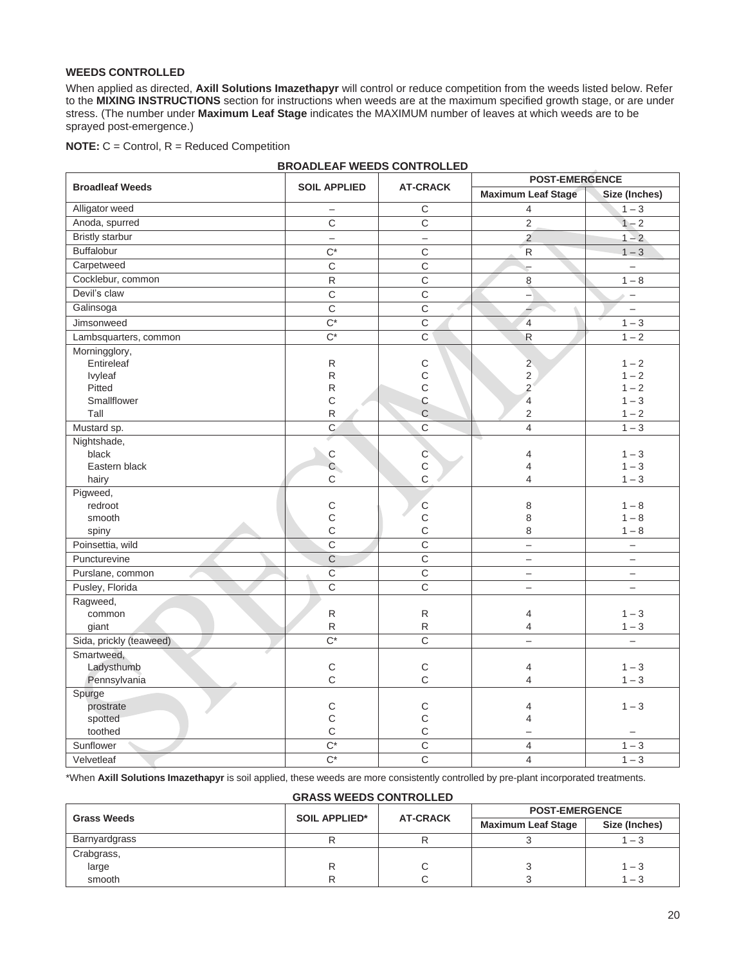#### **WEEDS CONTROLLED**

When applied as directed, **Axill Solutions Imazethapyr** will control or reduce competition from the weeds listed below. Refer to the **MIXING INSTRUCTIONS** section for instructions when weeds are at the maximum specified growth stage, or are under stress. (The number under **Maximum Leaf Stage** indicates the MAXIMUM number of leaves at which weeds are to be sprayed post-emergence.)

|  |  |  |  |  | <b>NOTE:</b> C = Control, R = Reduced Competition |
|--|--|--|--|--|---------------------------------------------------|
|--|--|--|--|--|---------------------------------------------------|

|                         |                          |                   | <b>POST-EMERGENCE</b>     |                          |  |
|-------------------------|--------------------------|-------------------|---------------------------|--------------------------|--|
| <b>Broadleaf Weeds</b>  | <b>SOIL APPLIED</b>      | <b>AT-CRACK</b>   | <b>Maximum Leaf Stage</b> | Size (Inches)            |  |
| Alligator weed          | $\qquad \qquad -$        | $\mathsf C$       | 4                         | $1 - 3$                  |  |
| Anoda, spurred          | $\overline{C}$           | $\overline{C}$    | $\overline{2}$            | $1 - 2$                  |  |
| <b>Bristly starbur</b>  | $\overline{\phantom{0}}$ | $\qquad \qquad -$ | $\overline{2}$            | $1 - 2$                  |  |
| <b>Buffalobur</b>       | $\overline{C^*}$         | $\overline{C}$    | $\overline{R}$            | $1 - 3$                  |  |
| Carpetweed              | $\overline{C}$           | $\overline{C}$    | $\overline{a}$            | $\overline{\phantom{0}}$ |  |
| Cocklebur, common       | $\mathsf{R}$             | $\overline{C}$    | 8                         | $1 - 8$                  |  |
| Devil's claw            | $\mathsf{C}$             | $\mathsf C$       | $\rightarrow$             | $\overline{\phantom{0}}$ |  |
| Galinsoga               | $\mathsf C$              | $\mathsf C$       | $\overline{\phantom{a}}$  | $\overline{\phantom{a}}$ |  |
| Jimsonweed              | $\overline{C^*}$         | $\overline{C}$    | $\overline{4}$            | $1 - 3$                  |  |
| Lambsquarters, common   | $\overline{C^*}$         | $\overline{C}$    | $\sf R$                   | $1 - 2$                  |  |
| Morningglory,           |                          |                   |                           |                          |  |
| Entireleaf              | ${\sf R}$                | C                 | $\overline{2}$            | $1 - 2$                  |  |
| Ivyleaf                 | $\mathsf{R}$             | C                 | $\overline{2}$            | $1 - 2$                  |  |
| Pitted                  | $\mathsf{R}$             | C                 | 2                         | $1 - 2$                  |  |
| Smallflower             | $\mathsf{C}$             | $\mathsf{C}$      | $\overline{\mathbf{4}}$   | $1 - 3$                  |  |
| Tall                    | $\mathsf{R}$             | $\mathsf{C}$      | $\overline{2}$            | $1 - 2$                  |  |
| Mustard sp.             | $\overline{C}$           | $\overline{C}$    | 4                         | $1 - 3$                  |  |
| Nightshade,             |                          |                   |                           |                          |  |
| black                   | $\mathsf{C}$             | $\mathbf C$       | 4                         | $1 - 3$                  |  |
| Eastern black           | $\mathsf{C}$             | $\mathsf C$       | 4                         | $1 - 3$                  |  |
| hairy                   | $\mathsf{C}$             | $\mathsf{C}$      | 4                         | $1 - 3$                  |  |
| Pigweed,                |                          |                   |                           |                          |  |
| redroot                 | $\mathsf C$              | $\mathsf{C}$      | 8                         | $1 - 8$                  |  |
| smooth                  | $\mathsf{C}$             | $\mathsf C$       | 8                         | $1 - 8$                  |  |
| spiny                   | $\mathsf{C}$             | $\mathsf{C}$      | 8                         | $1 - 8$                  |  |
| Poinsettia, wild        | $\overline{C}$           | $\overline{C}$    | $\overline{\phantom{0}}$  | $\overline{\phantom{0}}$ |  |
| Puncturevine            | $\overline{C}$           | $\overline{C}$    | $\overline{\phantom{0}}$  | $\qquad \qquad -$        |  |
| Purslane, common        | $\overline{C}$           | $\overline{C}$    | $\overline{\phantom{0}}$  | $\equiv$                 |  |
| Pusley, Florida         | $\mathsf C$              | $\mathsf C$       | $\overline{\phantom{0}}$  | $\qquad \qquad -$        |  |
| Ragweed,                |                          |                   |                           |                          |  |
| common                  | ${\sf R}$                | ${\sf R}$         | 4                         | $1 - 3$                  |  |
| giant                   | ${\sf R}$                | ${\sf R}$         | 4                         | $1 - 3$                  |  |
| Sida, prickly (teaweed) | $\overline{C^*}$         | $\overline{C}$    | $\overline{a}$            | $\equiv$                 |  |
| Smartweed,              |                          |                   |                           |                          |  |
| Ladysthumb              | $\mathsf C$              | $\mathsf C$       | 4                         | $1 - 3$                  |  |
| Pennsylvania            | $\mathsf{C}$             | $\mathsf C$       | 4                         | $1 - 3$                  |  |
| Spurge                  |                          |                   |                           |                          |  |
| prostrate               | $\mathsf C$              | С                 | 4                         | $1 - 3$                  |  |
| spotted                 | $\mathsf{C}$             | C                 | 4                         |                          |  |
| toothed                 | $\mathsf C$              | $\mathsf C$       |                           | $\qquad \qquad -$        |  |
| Sunflower               | $\overline{C^*}$         | $\overline{C}$    | 4                         | $1 - 3$                  |  |
| Velvetleaf              | $\overline{C^*}$         | $\overline{C}$    | 4                         | $1 - 3$                  |  |

**BROADLEAF WEEDS CONTROLLED**

\*When **Axill Solutions Imazethapyr** is soil applied, these weeds are more consistently controlled by pre-plant incorporated treatments.

#### **GRASS WEEDS CONTROLLED**

|                    |                      | <b>AT-CRACK</b> | <b>POST-EMERGENCE</b>     |               |  |
|--------------------|----------------------|-----------------|---------------------------|---------------|--|
| <b>Grass Weeds</b> | <b>SOIL APPLIED*</b> |                 | <b>Maximum Leaf Stage</b> | Size (Inches) |  |
| Barnyardgrass      |                      |                 |                           | $-3$          |  |
| Crabgrass,         |                      |                 |                           |               |  |
| large              |                      |                 |                           | $1 - 3$       |  |
| smooth             |                      |                 |                           | $-3$          |  |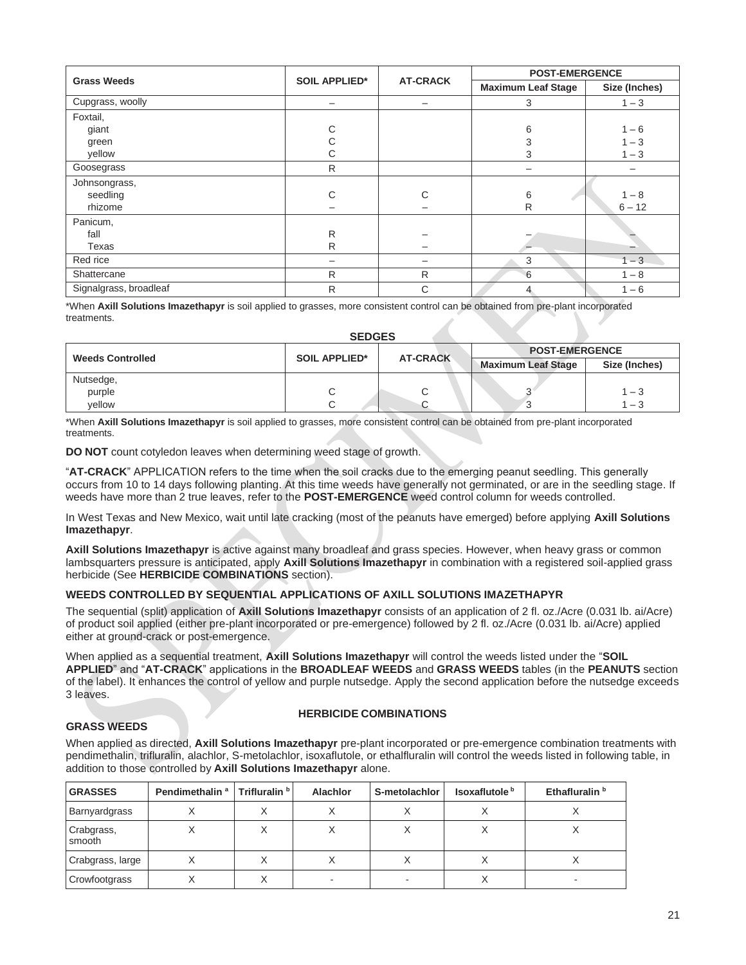|                        | <b>SOIL APPLIED*</b>     | <b>AT-CRACK</b> | <b>POST-EMERGENCE</b>     |               |
|------------------------|--------------------------|-----------------|---------------------------|---------------|
| <b>Grass Weeds</b>     |                          |                 | <b>Maximum Leaf Stage</b> | Size (Inches) |
| Cupgrass, woolly       | $\overline{\phantom{m}}$ |                 | 3                         | $1 - 3$       |
| Foxtail,               |                          |                 |                           |               |
| giant                  | С                        |                 | 6                         | $1 - 6$       |
| green                  | С                        |                 | 3                         | $1 - 3$       |
| yellow                 | C                        |                 | 3                         | $1 - 3$       |
| Goosegrass             | $\mathsf{R}$             |                 | $\overline{\phantom{0}}$  |               |
| Johnsongrass,          |                          |                 |                           |               |
| seedling               | С                        | C               | 6                         | $1 - 8$       |
| rhizome                | —                        |                 | R                         | $6 - 12$      |
| Panicum,               |                          |                 |                           |               |
| fall                   | $\mathsf{R}$             |                 |                           |               |
| Texas                  | R                        |                 |                           | -             |
| Red rice               |                          |                 | 3                         | $1 - 3$       |
| Shattercane            | R                        | R               | 6                         | $1 - 8$       |
| Signalgrass, broadleaf | R                        | C               | 4                         | $1 - 6$       |

\*When **Axill Solutions Imazethapyr** is soil applied to grasses, more consistent control can be obtained from pre-plant incorporated treatments.

#### **SEDGES**

|                         |                                         |  | <b>POST-EMERGENCE</b>     |               |
|-------------------------|-----------------------------------------|--|---------------------------|---------------|
| <b>Weeds Controlled</b> | <b>SOIL APPLIED*</b><br><b>AT-CRACK</b> |  | <b>Maximum Leaf Stage</b> | Size (Inches) |
| Nutsedge,               |                                         |  |                           |               |
| purple                  | ◡                                       |  |                           | $1 - 3$       |
| vellow                  |                                         |  |                           | - 3           |

\*When **Axill Solutions Imazethapyr** is soil applied to grasses, more consistent control can be obtained from pre-plant incorporated treatments.

**DO NOT** count cotyledon leaves when determining weed stage of growth.

"**AT-CRACK**" APPLICATION refers to the time when the soil cracks due to the emerging peanut seedling. This generally occurs from 10 to 14 days following planting. At this time weeds have generally not germinated, or are in the seedling stage. If weeds have more than 2 true leaves, refer to the **POST-EMERGENCE** weed control column for weeds controlled.

In West Texas and New Mexico, wait until late cracking (most of the peanuts have emerged) before applying **Axill Solutions Imazethapyr**.

**Axill Solutions Imazethapyr** is active against many broadleaf and grass species. However, when heavy grass or common lambsquarters pressure is anticipated, apply **Axill Solutions Imazethapyr** in combination with a registered soil-applied grass herbicide (See **HERBICIDE COMBINATIONS** section).

#### **WEEDS CONTROLLED BY SEQUENTIAL APPLICATIONS OF AXILL SOLUTIONS IMAZETHAPYR**

The sequential (split) application of **Axill Solutions Imazethapyr** consists of an application of 2 fl. oz./Acre (0.031 lb. ai/Acre) of product soil applied (either pre-plant incorporated or pre-emergence) followed by 2 fl. oz./Acre (0.031 lb. ai/Acre) applied either at ground-crack or post-emergence.

When applied as a sequential treatment, **Axill Solutions Imazethapyr** will control the weeds listed under the "**SOIL APPLIED**" and "**AT-CRACK**" applications in the **BROADLEAF WEEDS** and **GRASS WEEDS** tables (in the **PEANUTS** section of the label). It enhances the control of yellow and purple nutsedge. Apply the second application before the nutsedge exceeds 3 leaves.

#### **HERBICIDE COMBINATIONS**

#### **GRASS WEEDS**

When applied as directed, **Axill Solutions Imazethapyr** pre-plant incorporated or pre-emergence combination treatments with pendimethalin, trifluralin, alachlor, S-metolachlor, isoxaflutole, or ethalfluralin will control the weeds listed in following table, in addition to those controlled by **Axill Solutions Imazethapyr** alone.

| <b>GRASSES</b>       | Pendimethalin <sup>a</sup> | Trifluralin b | Alachlor | S-metolachlor | Isoxaflutole <sup>b</sup> | Ethafluralin <sup>b</sup> |
|----------------------|----------------------------|---------------|----------|---------------|---------------------------|---------------------------|
| Barnyardgrass        |                            |               |          |               |                           |                           |
| Crabgrass,<br>smooth |                            |               |          |               |                           |                           |
| Crabgrass, large     |                            |               |          |               |                           |                           |
| Crowfootgrass        |                            |               |          |               |                           |                           |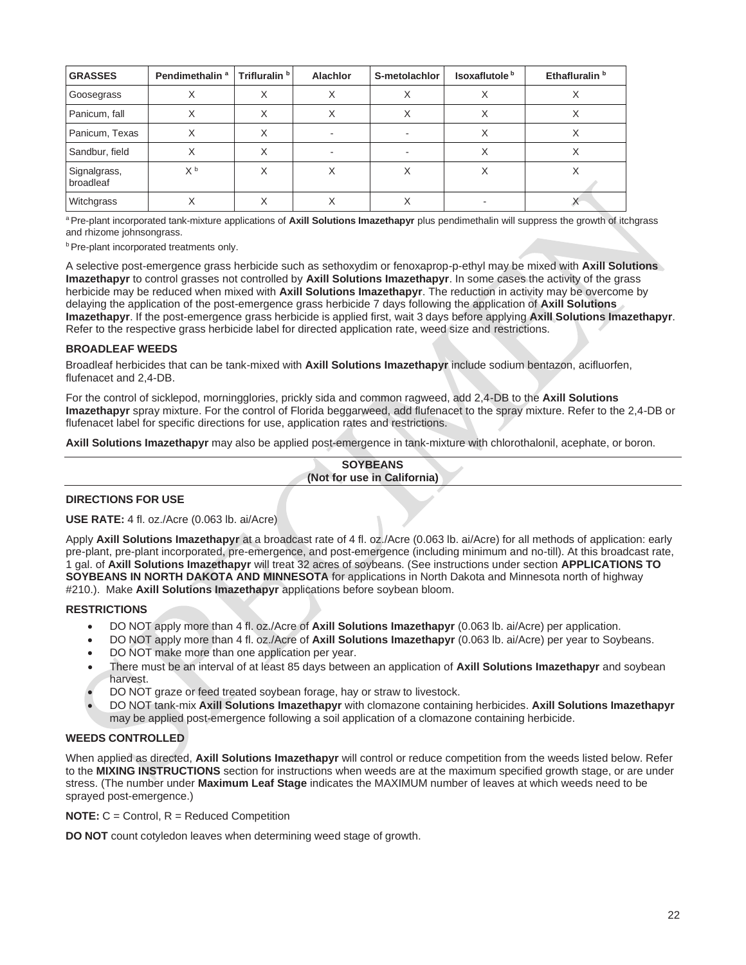| <b>GRASSES</b>            | Pendimethalin <sup>a</sup> | Trifluralin <sup>b</sup> | <b>Alachlor</b> | S-metolachlor | Isoxaflutole <sup>b</sup> | Ethafluralin <sup>b</sup> |
|---------------------------|----------------------------|--------------------------|-----------------|---------------|---------------------------|---------------------------|
| Goosegrass                |                            |                          |                 |               |                           |                           |
| Panicum, fall             |                            | ⋏                        |                 |               |                           |                           |
| Panicum, Texas            |                            | ⋏                        |                 |               | ⌒                         | Λ                         |
| Sandbur, field            | $\lambda$                  | ∧                        |                 |               |                           | ∧                         |
| Signalgrass,<br>broadleaf | X <sup>b</sup>             |                          |                 |               |                           |                           |
| Witchgrass                |                            |                          |                 |               |                           |                           |

<sup>a</sup>Pre-plant incorporated tank-mixture applications of **Axill Solutions Imazethapyr** plus pendimethalin will suppress the growth of itchgrass and rhizome johnsongrass.

**b** Pre-plant incorporated treatments only.

A selective post-emergence grass herbicide such as sethoxydim or fenoxaprop-p-ethyl may be mixed with **Axill Solutions Imazethapyr** to control grasses not controlled by **Axill Solutions Imazethapyr**. In some cases the activity of the grass herbicide may be reduced when mixed with **Axill Solutions Imazethapyr**. The reduction in activity may be overcome by delaying the application of the post-emergence grass herbicide 7 days following the application of **Axill Solutions Imazethapyr**. If the post-emergence grass herbicide is applied first, wait 3 days before applying **Axill Solutions Imazethapyr**. Refer to the respective grass herbicide label for directed application rate, weed size and restrictions.

#### **BROADLEAF WEEDS**

Broadleaf herbicides that can be tank-mixed with **Axill Solutions Imazethapyr** include sodium bentazon, acifluorfen, flufenacet and 2,4-DB.

For the control of sicklepod, morningglories, prickly sida and common ragweed, add 2,4-DB to the **Axill Solutions Imazethapyr** spray mixture. For the control of Florida beggarweed, add flufenacet to the spray mixture. Refer to the 2,4-DB or flufenacet label for specific directions for use, application rates and restrictions.

**Axill Solutions Imazethapyr** may also be applied post-emergence in tank-mixture with chlorothalonil, acephate, or boron.

**SOYBEANS (Not for use in California)**

#### **DIRECTIONS FOR USE**

**USE RATE:** 4 fl. oz./Acre (0.063 lb. ai/Acre)

Apply **Axill Solutions Imazethapyr** at a broadcast rate of 4 fl. oz./Acre (0.063 lb. ai/Acre) for all methods of application: early pre-plant, pre-plant incorporated, pre-emergence, and post-emergence (including minimum and no-till). At this broadcast rate, 1 gal. of **Axill Solutions Imazethapyr** will treat 32 acres of soybeans. (See instructions under section **APPLICATIONS TO SOYBEANS IN NORTH DAKOTA AND MINNESOTA** for applications in North Dakota and Minnesota north of highway #210.). Make **Axill Solutions Imazethapyr** applications before soybean bloom.

#### **RESTRICTIONS**

- DO NOT apply more than 4 fl. oz./Acre of **Axill Solutions Imazethapyr** (0.063 lb. ai/Acre) per application.
- DO NOT apply more than 4 fl. oz./Acre of **Axill Solutions Imazethapyr** (0.063 lb. ai/Acre) per year to Soybeans.
- DO NOT make more than one application per year.
- There must be an interval of at least 85 days between an application of **Axill Solutions Imazethapyr** and soybean harvest.
- DO NOT graze or feed treated soybean forage, hay or straw to livestock.
- DO NOT tank-mix **Axill Solutions Imazethapyr** with clomazone containing herbicides. **Axill Solutions Imazethapyr** may be applied post-emergence following a soil application of a clomazone containing herbicide.

#### **WEEDS CONTROLLED**

When applied as directed, **Axill Solutions Imazethapyr** will control or reduce competition from the weeds listed below. Refer to the **MIXING INSTRUCTIONS** section for instructions when weeds are at the maximum specified growth stage, or are under stress. (The number under **Maximum Leaf Stage** indicates the MAXIMUM number of leaves at which weeds need to be sprayed post-emergence.)

**NOTE:** C = Control, R = Reduced Competition

**DO NOT** count cotyledon leaves when determining weed stage of growth.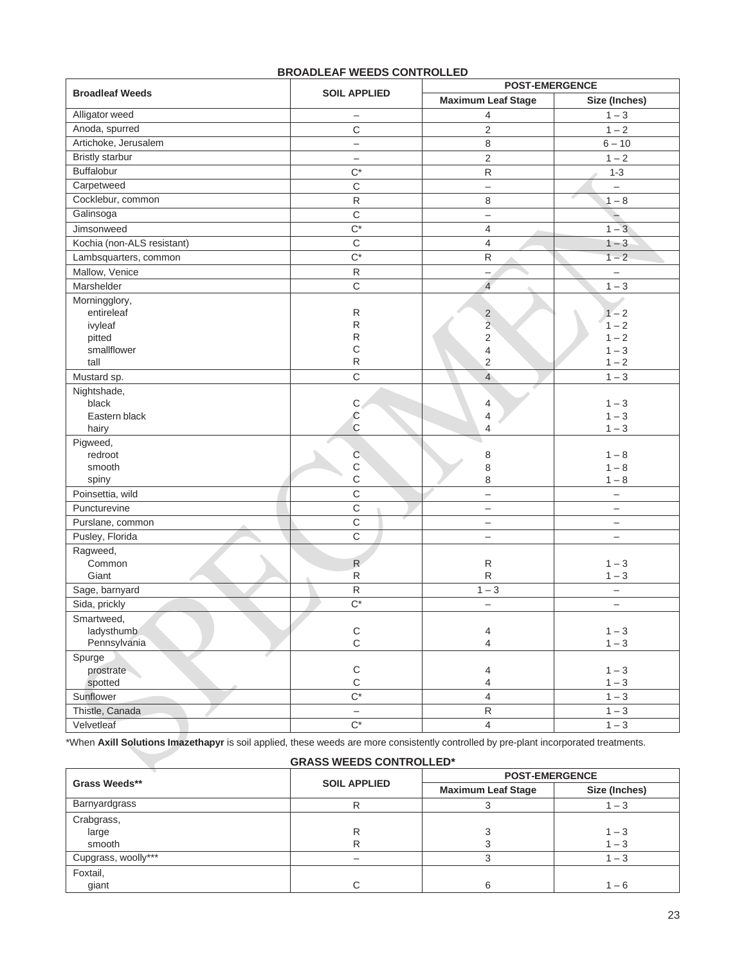|                                     |                            | <b>POST-EMERGENCE</b>     |                          |  |  |
|-------------------------------------|----------------------------|---------------------------|--------------------------|--|--|
| <b>Broadleaf Weeds</b>              | <b>SOIL APPLIED</b>        | <b>Maximum Leaf Stage</b> | Size (Inches)            |  |  |
| Alligator weed                      | <sup>-</sup>               | 4                         | $1 - 3$                  |  |  |
| Anoda, spurred                      | C                          | $\sqrt{2}$                | $1 - 2$                  |  |  |
| Artichoke, Jerusalem                | $\overline{\phantom{0}}$   | 8                         | $6 - 10$                 |  |  |
| <b>Bristly starbur</b>              | $\overline{\phantom{0}}$   | $\mathbf 2$               | $1 - 2$                  |  |  |
| Buffalobur                          | $C^*$                      | ${\sf R}$                 | $1 - 3$                  |  |  |
| Carpetweed                          | $\mathsf C$                | $\qquad \qquad -$         |                          |  |  |
| Cocklebur, common                   | $\mathsf{R}$               | 8                         | $1 - 8$                  |  |  |
| Galinsoga                           | $\mathsf C$                | $\qquad \qquad -$         |                          |  |  |
| Jimsonweed                          | $\overline{C^*}$           | $\overline{4}$            | $1 - 3$                  |  |  |
| Kochia (non-ALS resistant)          | $\mathsf C$                | $\overline{4}$            | $1 - 3$                  |  |  |
| Lambsquarters, common               | $C^*$                      | ${\sf R}$                 | $1 - 2$                  |  |  |
| Mallow, Venice                      | ${\sf R}$                  | $\qquad \qquad -$         | $\overline{\phantom{0}}$ |  |  |
| Marshelder                          | $\mathbf C$                | $\overline{4}$            | $1 - 3$                  |  |  |
| Morningglory,                       |                            |                           |                          |  |  |
| entireleaf                          | R                          | $\overline{\mathbf{c}}$   | $1 - 2$                  |  |  |
| ivyleaf                             | R                          | $\overline{2}$            | $1 - 2$                  |  |  |
| pitted                              | R                          | $\sqrt{2}$                | $1 - 2$                  |  |  |
| smallflower                         | C                          | 4                         | $1 - 3$                  |  |  |
| tall                                | $\mathsf R$                | 2                         | $1 - 2$                  |  |  |
| Mustard sp.                         | C                          | $\overline{4}$            | $1 - 3$                  |  |  |
| Nightshade,                         |                            |                           |                          |  |  |
| black                               | $\mathbf{C}$               | 4                         | $1 - 3$                  |  |  |
| Eastern black                       | $\mathbb{C}$               | 4                         | $1 - 3$                  |  |  |
| hairy                               | $\mathsf{C}$               | 4                         | $1 - 3$                  |  |  |
| Pigweed,                            |                            |                           |                          |  |  |
| redroot<br>smooth                   | $\mathsf C$<br>$\mathsf C$ | 8                         | $1 - 8$<br>$1 - 8$       |  |  |
| spiny                               | $\mathsf{C}$               | 8<br>8                    | $1 - 8$                  |  |  |
| Poinsettia, wild                    | $\overline{C}$             | $\equiv$                  | $\qquad \qquad -$        |  |  |
| Puncturevine                        | $\mathsf{C}$               | $\overline{\phantom{m}}$  | $\qquad \qquad -$        |  |  |
|                                     | $\mathsf{C}$               |                           |                          |  |  |
| Purslane, common<br>Pusley, Florida | $\mathsf{C}$               | $\overline{\phantom{m}}$  | $\overline{\phantom{0}}$ |  |  |
|                                     |                            | $\overline{\phantom{0}}$  | $\qquad \qquad -$        |  |  |
| Ragweed,<br>Common                  | $\mathsf{R}$               | $\mathsf R$               | $1 - 3$                  |  |  |
| Giant                               | R                          | ${\sf R}$                 | $1 - 3$                  |  |  |
| Sage, barnyard                      | ${\sf R}$                  | $1 - 3$                   | $\overline{\phantom{0}}$ |  |  |
| Sida, prickly                       | $C^*$                      |                           | $\overline{\phantom{0}}$ |  |  |
| Smartweed,                          |                            |                           |                          |  |  |
| ladysthumb                          | $\mathsf C$                | $\overline{4}$            | $1 - 3$                  |  |  |
| Pennsylvania                        | $\mathsf C$                | $\overline{4}$            | $1 - 3$                  |  |  |
| Spurge                              |                            |                           |                          |  |  |
| prostrate                           | $\mathsf C$                | 4                         | $1 - 3$                  |  |  |
| spotted                             | $\mathsf C$                | $\overline{\mathcal{A}}$  | $1 - 3$                  |  |  |
| Sunflower                           | $\overline{C^*}$           | $\overline{\mathbf{4}}$   | $1 - 3$                  |  |  |
| Thistle, Canada                     | $\qquad \qquad -$          | ${\sf R}$                 | $1 - 3$                  |  |  |
| Velvetleaf                          | $\overline{C^*}$           | $\overline{4}$            | $1 - 3$                  |  |  |

#### **BROADLEAF WEEDS CONTROLLED**

\*When **Axill Solutions Imazethapyr** is soil applied, these weeds are more consistently controlled by pre-plant incorporated treatments.

| <b>GRASS WEEDS CONTROLLED*</b> |                     |                           |               |  |
|--------------------------------|---------------------|---------------------------|---------------|--|
|                                | <b>SOIL APPLIED</b> | <b>POST-EMERGENCE</b>     |               |  |
| Grass Weeds**                  |                     | <b>Maximum Leaf Stage</b> | Size (Inches) |  |
| Barnyardgrass                  | R                   |                           | $-3$          |  |
| Crabgrass,                     |                     |                           |               |  |
| large                          | R                   |                           | $1 - 3$       |  |
| smooth                         |                     |                           | $1 - 3$       |  |
| Cupgrass, woolly***            |                     |                           | $-3$          |  |
| Foxtail,                       |                     |                           |               |  |
| giant                          | C                   | 6                         | $1 - 6$       |  |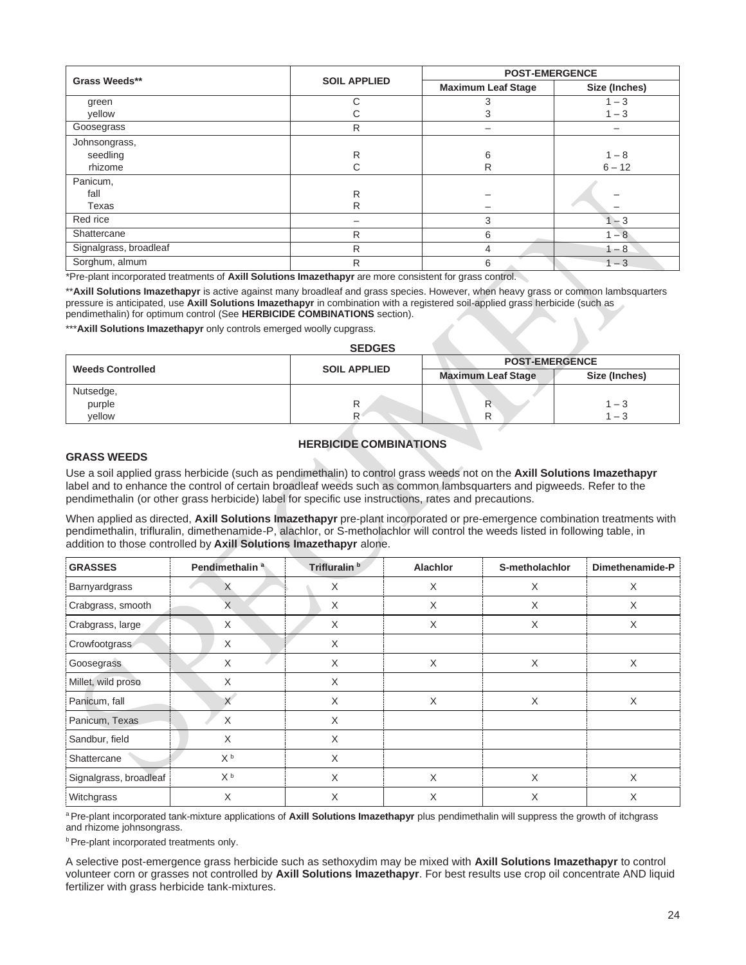| Grass Weeds**          |                     | <b>POST-EMERGENCE</b>     |               |  |
|------------------------|---------------------|---------------------------|---------------|--|
|                        | <b>SOIL APPLIED</b> | <b>Maximum Leaf Stage</b> | Size (Inches) |  |
| green                  | C                   | 3                         | $1 - 3$       |  |
| yellow                 | С                   | 3                         | $1 - 3$       |  |
| Goosegrass             | R                   |                           |               |  |
| Johnsongrass,          |                     |                           |               |  |
| seedling               | R                   | 6                         | $1 - 8$       |  |
| rhizome                | С                   | R                         | $6 - 12$      |  |
| Panicum,               |                     |                           |               |  |
| fall                   | R                   |                           |               |  |
| Texas                  | R                   |                           |               |  |
| Red rice               |                     | 3                         | $1 - 3$       |  |
| Shattercane            | R                   | 6                         | $1 - 8$       |  |
| Signalgrass, broadleaf | R                   | 4                         | $1 - 8$       |  |
| Sorghum, almum         | R                   | 6                         | $1 - 3$       |  |

\*Pre-plant incorporated treatments of **Axill Solutions Imazethapyr** are more consistent for grass control.

\*\***Axill Solutions Imazethapyr** is active against many broadleaf and grass species. However, when heavy grass or common lambsquarters pressure is anticipated, use **Axill Solutions Imazethapyr** in combination with a registered soil-applied grass herbicide (such as pendimethalin) for optimum control (See **HERBICIDE COMBINATIONS** section).

\*\*\* Axill Solutions Imazethapyr only controls emerged woolly cupgrass.

#### **SEDGES**

|                         | <b>SOIL APPLIED</b> | <b>POST-EMERGENCE</b>     |               |  |
|-------------------------|---------------------|---------------------------|---------------|--|
| <b>Weeds Controlled</b> |                     | <b>Maximum Leaf Stage</b> | Size (Inches) |  |
| Nutsedge,               |                     |                           |               |  |
| purple                  |                     |                           | $-3$          |  |
| vellow                  |                     |                           | $-3$          |  |

#### **HERBICIDE COMBINATIONS**

#### **GRASS WEEDS**

Use a soil applied grass herbicide (such as pendimethalin) to control grass weeds not on the **Axill Solutions Imazethapyr** label and to enhance the control of certain broadleaf weeds such as common lambsquarters and pigweeds. Refer to the pendimethalin (or other grass herbicide) label for specific use instructions, rates and precautions.

When applied as directed, **Axill Solutions Imazethapyr** pre-plant incorporated or pre-emergence combination treatments with pendimethalin, trifluralin, dimethenamide-P, alachlor, or S-metholachlor will control the weeds listed in following table, in addition to those controlled by **Axill Solutions Imazethapyr** alone.

| <b>GRASSES</b>         | Pendimethalin <sup>a</sup> | Trifluralin <sup>b</sup> | <b>Alachlor</b> | S-metholachlor | Dimethenamide-P |
|------------------------|----------------------------|--------------------------|-----------------|----------------|-----------------|
| Barnyardgrass          | $\lambda$                  | X                        | X               | X              | X               |
| Crabgrass, smooth      | X                          | X                        | X               | X              | X               |
| Crabgrass, large       | X                          | X                        | X               | X              | X               |
| Crowfootgrass          | X                          | X                        |                 |                |                 |
| Goosegrass             | X                          | X                        | X               | X              | X               |
| Millet, wild proso     | X                          | X                        |                 |                |                 |
| Panicum, fall          |                            | X                        | X               | X              | X               |
| Panicum, Texas         | X                          | X                        |                 |                |                 |
| Sandbur, field         | X                          | X                        |                 |                |                 |
| Shattercane            | X <sup>b</sup>             | X                        |                 |                |                 |
| Signalgrass, broadleaf | X <sub>p</sub>             | X                        | X               | X              | X               |
| Witchgrass             | X                          | X                        | X               | X              | X               |

a Pre-plant incorporated tank-mixture applications of Axill Solutions Imazethapyr plus pendimethalin will suppress the growth of itchgrass and rhizome johnsongrass.

**b** Pre-plant incorporated treatments only.

A selective post-emergence grass herbicide such as sethoxydim may be mixed with **Axill Solutions Imazethapyr** to control volunteer corn or grasses not controlled by **Axill Solutions Imazethapyr**. For best results use crop oil concentrate AND liquid fertilizer with grass herbicide tank-mixtures.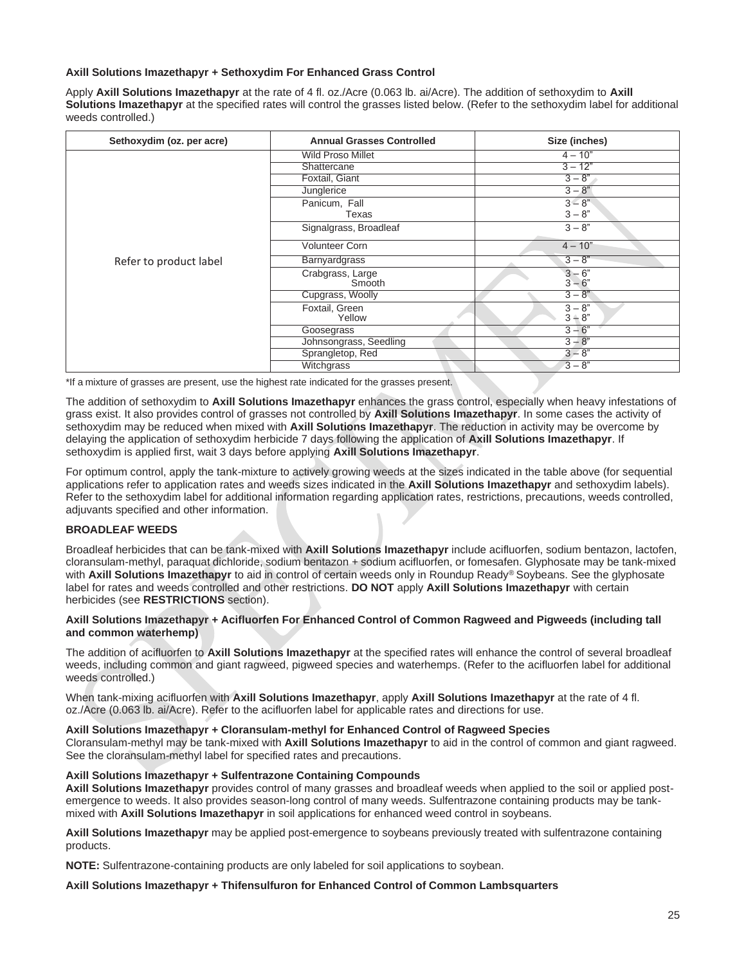#### **Axill Solutions Imazethapyr + Sethoxydim For Enhanced Grass Control**

Apply **Axill Solutions Imazethapyr** at the rate of 4 fl. oz./Acre (0.063 lb. ai/Acre). The addition of sethoxydim to **Axill Solutions Imazethapyr** at the specified rates will control the grasses listed below. (Refer to the sethoxydim label for additional weeds controlled.)

| Sethoxydim (oz. per acre) | <b>Annual Grasses Controlled</b>  | Size (inches)        |
|---------------------------|-----------------------------------|----------------------|
|                           | <b>Wild Proso Millet</b>          | $4 - 10"$            |
|                           | Shattercane                       | $3 - 12"$            |
|                           | Foxtail, Giant                    | $3 - 8"$             |
|                           | Junglerice                        | $3 - 8"$             |
|                           | Panicum, Fall                     | $3 - 8$ "            |
|                           | Texas                             | $3 - 8"$             |
|                           | Signalgrass, Broadleaf            | $3 - 8"$             |
|                           | <b>Volunteer Corn</b>             | $4 - 10"$            |
| Refer to product label    | <b>Barnyardgrass</b>              | $3 - 8"$             |
|                           | Crabgrass, Large<br><b>Smooth</b> | $3 - 6"$<br>$3 - 6"$ |
|                           | Cupgrass, Woolly                  | $3 - 8"$             |
|                           | Foxtail, Green<br>Yellow          | $3 - 8"$<br>$3 - 8"$ |
|                           | Goosegrass                        | $3 - 6"$             |
|                           | Johnsongrass, Seedling            | $3 - 8"$             |
|                           | Sprangletop, Red                  | $3 - 8"$             |
|                           | Witchgrass                        | $3 - 8"$             |

\*If a mixture of grasses are present, use the highest rate indicated for the grasses present.

The addition of sethoxydim to **Axill Solutions Imazethapyr** enhances the grass control, especially when heavy infestations of grass exist. It also provides control of grasses not controlled by **Axill Solutions Imazethapyr**. In some cases the activity of sethoxydim may be reduced when mixed with **Axill Solutions Imazethapyr**. The reduction in activity may be overcome by delaying the application of sethoxydim herbicide 7 days following the application of **Axill Solutions Imazethapyr**. If sethoxydim is applied first, wait 3 days before applying **Axill Solutions Imazethapyr**.

For optimum control, apply the tank-mixture to actively growing weeds at the sizes indicated in the table above (for sequential applications refer to application rates and weeds sizes indicated in the **Axill Solutions Imazethapyr** and sethoxydim labels). Refer to the sethoxydim label for additional information regarding application rates, restrictions, precautions, weeds controlled, adjuvants specified and other information.

#### **BROADLEAF WEEDS**

Broadleaf herbicides that can be tank-mixed with **Axill Solutions Imazethapyr** include acifluorfen, sodium bentazon, lactofen, cloransulam-methyl, paraquat dichloride, sodium bentazon + sodium acifluorfen, or fomesafen. Glyphosate may be tank-mixed with **Axill Solutions Imazethapyr** to aid in control of certain weeds only in Roundup Ready® Soybeans. See the glyphosate label for rates and weeds controlled and other restrictions. **DO NOT** apply **Axill Solutions Imazethapyr** with certain herbicides (see **RESTRICTIONS** section).

#### **Axill Solutions Imazethapyr + Acifluorfen For Enhanced Control of Common Ragweed and Pigweeds (including tall and common waterhemp)**

The addition of acifluorfen to **Axill Solutions Imazethapyr** at the specified rates will enhance the control of several broadleaf weeds, including common and giant ragweed, pigweed species and waterhemps. (Refer to the acifluorfen label for additional weeds controlled.)

When tank-mixing acifluorfen with **Axill Solutions Imazethapyr**, apply **Axill Solutions Imazethapyr** at the rate of 4 fl. oz./Acre (0.063 lb. ai/Acre). Refer to the acifluorfen label for applicable rates and directions for use.

#### **Axill Solutions Imazethapyr + Cloransulam-methyl for Enhanced Control of Ragweed Species**

Cloransulam-methyl may be tank-mixed with **Axill Solutions Imazethapyr** to aid in the control of common and giant ragweed. See the cloransulam-methyl label for specified rates and precautions.

#### **Axill Solutions Imazethapyr + Sulfentrazone Containing Compounds**

**Axill Solutions Imazethapyr** provides control of many grasses and broadleaf weeds when applied to the soil or applied postemergence to weeds. It also provides season-long control of many weeds. Sulfentrazone containing products may be tankmixed with **Axill Solutions Imazethapyr** in soil applications for enhanced weed control in soybeans.

**Axill Solutions Imazethapyr** may be applied post-emergence to soybeans previously treated with sulfentrazone containing products.

**NOTE:** Sulfentrazone-containing products are only labeled for soil applications to soybean.

#### **Axill Solutions Imazethapyr + Thifensulfuron for Enhanced Control of Common Lambsquarters**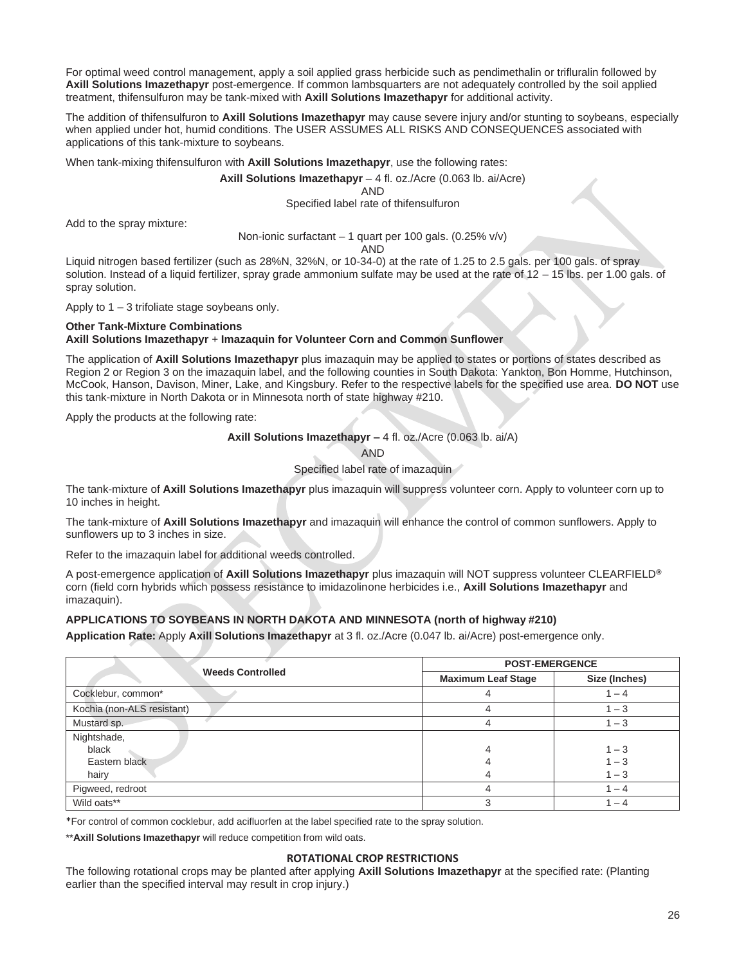For optimal weed control management, apply a soil applied grass herbicide such as pendimethalin or trifluralin followed by **Axill Solutions Imazethapyr** post-emergence. If common lambsquarters are not adequately controlled by the soil applied treatment, thifensulfuron may be tank-mixed with **Axill Solutions Imazethapyr** for additional activity.

The addition of thifensulfuron to **Axill Solutions Imazethapyr** may cause severe injury and/or stunting to soybeans, especially when applied under hot, humid conditions. The USER ASSUMES ALL RISKS AND CONSEQUENCES associated with applications of this tank-mixture to soybeans.

When tank-mixing thifensulfuron with **Axill Solutions Imazethapyr**, use the following rates:

#### **Axill Solutions Imazethapyr** – 4 fl. oz./Acre (0.063 lb. ai/Acre)

AND

Specified label rate of thifensulfuron

Add to the spray mixture:

#### Non-ionic surfactant – 1 quart per 100 gals. (0.25% v/v)

AND

Liquid nitrogen based fertilizer (such as 28%N, 32%N, or 10-34-0) at the rate of 1.25 to 2.5 gals. per 100 gals. of spray solution. Instead of a liquid fertilizer, spray grade ammonium sulfate may be used at the rate of 12 – 15 lbs. per 1.00 gals. of spray solution.

Apply to 1 – 3 trifoliate stage soybeans only.

#### **Other Tank-Mixture Combinations Axill Solutions Imazethapyr** + **Imazaquin for Volunteer Corn and Common Sunflower**

The application of **Axill Solutions Imazethapyr** plus imazaquin may be applied to states or portions of states described as Region 2 or Region 3 on the imazaquin label, and the following counties in South Dakota: Yankton, Bon Homme, Hutchinson, McCook, Hanson, Davison, Miner, Lake, and Kingsbury. Refer to the respective labels for the specified use area. **DO NOT** use this tank-mixture in North Dakota or in Minnesota north of state highway #210.

Apply the products at the following rate:

**Axill Solutions Imazethapyr –** 4 fl. oz./Acre (0.063 lb. ai/A)

AND

Specified label rate of imazaquin

The tank-mixture of **Axill Solutions Imazethapyr** plus imazaquin will suppress volunteer corn. Apply to volunteer corn up to 10 inches in height.

The tank-mixture of **Axill Solutions Imazethapyr** and imazaquin will enhance the control of common sunflowers. Apply to sunflowers up to 3 inches in size.

Refer to the imazaquin label for additional weeds controlled.

A post-emergence application of **Axill Solutions Imazethapyr** plus imazaquin will NOT suppress volunteer CLEARFIELD**®** corn (field corn hybrids which possess resistance to imidazolinone herbicides i.e., **Axill Solutions Imazethapyr** and imazaquin).

#### **APPLICATIONS TO SOYBEANS IN NORTH DAKOTA AND MINNESOTA (north of highway #210)**

**Application Rate:** Apply **Axill Solutions Imazethapyr** at 3 fl. oz./Acre (0.047 lb. ai/Acre) post-emergence only.

|                            | <b>POST-EMERGENCE</b>     |               |  |
|----------------------------|---------------------------|---------------|--|
| <b>Weeds Controlled</b>    | <b>Maximum Leaf Stage</b> | Size (Inches) |  |
| Cocklebur, common*         |                           | $-4$          |  |
| Kochia (non-ALS resistant) | 4                         | $1 - 3$       |  |
| Mustard sp.                |                           | $1 - 3$       |  |
| Nightshade,                |                           |               |  |
| black                      | 4                         | $1 - 3$       |  |
| Eastern black              |                           | $1 - 3$       |  |
| hairy                      | ΖΙ                        | $1 - 3$       |  |
| Pigweed, redroot           |                           | $-4$          |  |
| Wild oats**                | 3                         | $-4$          |  |

\*For control of common cocklebur, add acifluorfen at the label specified rate to the spray solution.

\*\***Axill Solutions Imazethapyr** will reduce competition from wild oats.

#### **ROTATIONAL CROP RESTRICTIONS**

The following rotational crops may be planted after applying **Axill Solutions Imazethapyr** at the specified rate: (Planting earlier than the specified interval may result in crop injury.)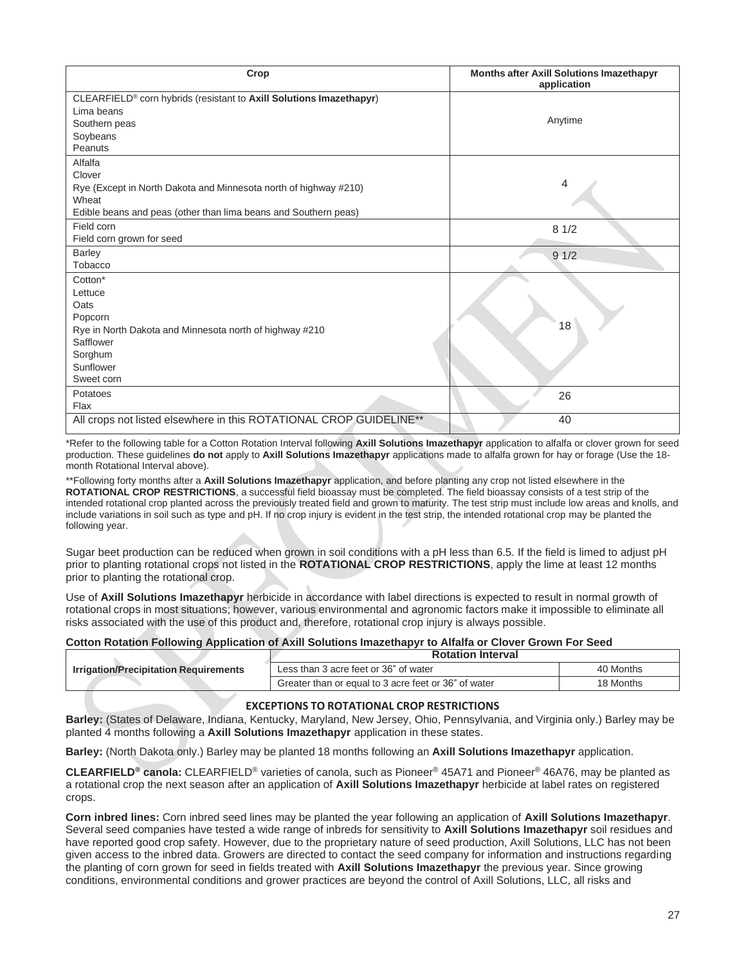| Crop                                                                | Months after Axill Solutions Imazethapyr<br>application |
|---------------------------------------------------------------------|---------------------------------------------------------|
| CLEARFIELD® corn hybrids (resistant to Axill Solutions Imazethapyr) |                                                         |
| Lima beans                                                          |                                                         |
| Southern peas                                                       | Anytime                                                 |
| Soybeans                                                            |                                                         |
| Peanuts                                                             |                                                         |
| Alfalfa                                                             |                                                         |
| Clover                                                              |                                                         |
| Rye (Except in North Dakota and Minnesota north of highway #210)    | 4                                                       |
| Wheat                                                               |                                                         |
| Edible beans and peas (other than lima beans and Southern peas)     |                                                         |
| Field corn                                                          | 81/2                                                    |
| Field corn grown for seed                                           |                                                         |
| <b>Barley</b>                                                       | 91/2                                                    |
| Tobacco                                                             |                                                         |
| Cotton*                                                             |                                                         |
| Lettuce                                                             |                                                         |
| Oats                                                                |                                                         |
| Popcorn                                                             |                                                         |
| Rye in North Dakota and Minnesota north of highway #210             | 18                                                      |
| Safflower                                                           |                                                         |
| Sorghum                                                             |                                                         |
| Sunflower                                                           |                                                         |
| Sweet corn                                                          |                                                         |
| Potatoes                                                            | 26                                                      |
| Flax                                                                |                                                         |
| All crops not listed elsewhere in this ROTATIONAL CROP GUIDELINE**  | 40                                                      |
|                                                                     |                                                         |

\*Refer to the following table for a Cotton Rotation Interval following **Axill Solutions Imazethapyr** application to alfalfa or clover grown for seed production. These guidelines **do not** apply to **Axill Solutions Imazethapyr** applications made to alfalfa grown for hay or forage (Use the 18 month Rotational Interval above).

\*\*Following forty months after a **Axill Solutions Imazethapyr** application, and before planting any crop not listed elsewhere in the **ROTATIONAL CROP RESTRICTIONS**, a successful field bioassay must be completed. The field bioassay consists of a test strip of the intended rotational crop planted across the previously treated field and grown to maturity. The test strip must include low areas and knolls, and include variations in soil such as type and pH. If no crop injury is evident in the test strip, the intended rotational crop may be planted the following year.

Sugar beet production can be reduced when grown in soil conditions with a pH less than 6.5. If the field is limed to adjust pH prior to planting rotational crops not listed in the **ROTATIONAL CROP RESTRICTIONS**, apply the lime at least 12 months prior to planting the rotational crop.

Use of **Axill Solutions Imazethapyr** herbicide in accordance with label directions is expected to result in normal growth of rotational crops in most situations; however, various environmental and agronomic factors make it impossible to eliminate all risks associated with the use of this product and, therefore, rotational crop injury is always possible.

#### **Cotton Rotation Following Application of Axill Solutions Imazethapyr to Alfalfa or Clover Grown For Seed**

|                                              | <b>Rotation Interval</b>                             |           |
|----------------------------------------------|------------------------------------------------------|-----------|
| <b>Irrigation/Precipitation Requirements</b> | Less than 3 acre feet or 36" of water                | 40 Months |
|                                              | Greater than or equal to 3 acre feet or 36" of water | 18 Months |

#### **EXCEPTIONS TO ROTATIONAL CROP RESTRICTIONS**

**Barley:** (States of Delaware, Indiana, Kentucky, Maryland, New Jersey, Ohio, Pennsylvania, and Virginia only.) Barley may be planted 4 months following a **Axill Solutions Imazethapyr** application in these states.

**Barley:** (North Dakota only.) Barley may be planted 18 months following an **Axill Solutions Imazethapyr** application.

**CLEARFIELD® canola:** CLEARFIELD® varieties of canola, such as Pioneer® 45A71 and Pioneer® 46A76, may be planted as a rotational crop the next season after an application of **Axill Solutions Imazethapyr** herbicide at label rates on registered crops.

**Corn inbred lines:** Corn inbred seed lines may be planted the year following an application of **Axill Solutions Imazethapyr**. Several seed companies have tested a wide range of inbreds for sensitivity to **Axill Solutions Imazethapyr** soil residues and have reported good crop safety. However, due to the proprietary nature of seed production, Axill Solutions, LLC has not been given access to the inbred data. Growers are directed to contact the seed company for information and instructions regarding the planting of corn grown for seed in fields treated with **Axill Solutions Imazethapyr** the previous year. Since growing conditions, environmental conditions and grower practices are beyond the control of Axill Solutions, LLC, all risks and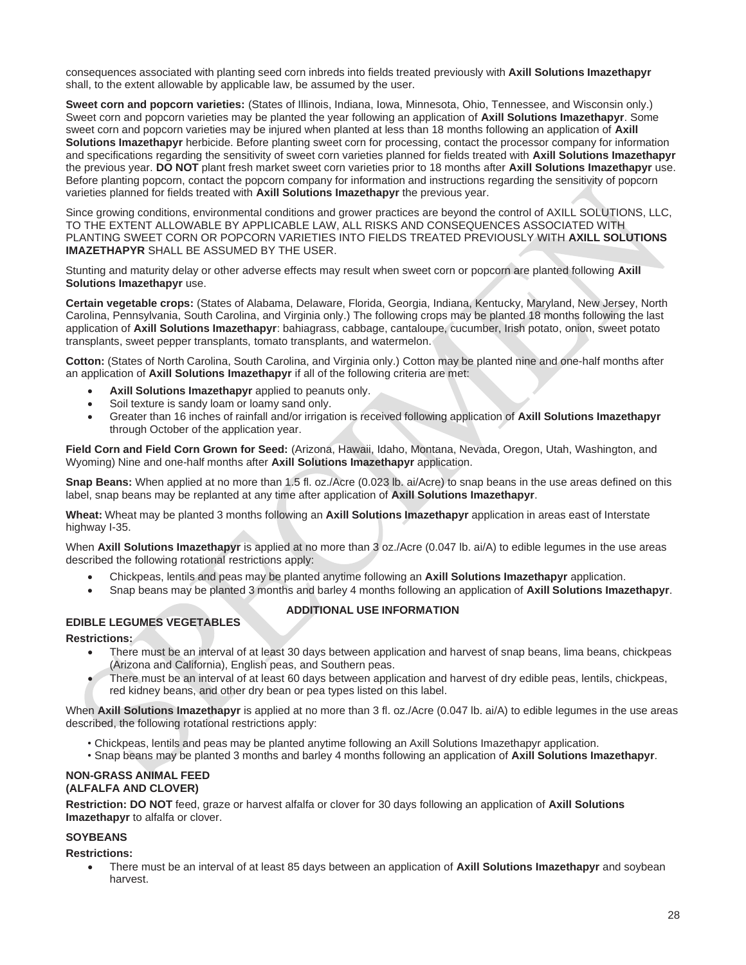consequences associated with planting seed corn inbreds into fields treated previously with **Axill Solutions Imazethapyr** shall, to the extent allowable by applicable law, be assumed by the user.

**Sweet corn and popcorn varieties:** (States of Illinois, Indiana, Iowa, Minnesota, Ohio, Tennessee, and Wisconsin only.) Sweet corn and popcorn varieties may be planted the year following an application of **Axill Solutions Imazethapyr**. Some sweet corn and popcorn varieties may be injured when planted at less than 18 months following an application of **Axill Solutions Imazethapyr** herbicide. Before planting sweet corn for processing, contact the processor company for information and specifications regarding the sensitivity of sweet corn varieties planned for fields treated with **Axill Solutions Imazethapyr** the previous year. **DO NOT** plant fresh market sweet corn varieties prior to 18 months after **Axill Solutions Imazethapyr** use. Before planting popcorn, contact the popcorn company for information and instructions regarding the sensitivity of popcorn varieties planned for fields treated with **Axill Solutions Imazethapyr** the previous year.

Since growing conditions, environmental conditions and grower practices are beyond the control of AXILL SOLUTIONS, LLC, TO THE EXTENT ALLOWABLE BY APPLICABLE LAW, ALL RISKS AND CONSEQUENCES ASSOCIATED WITH PLANTING SWEET CORN OR POPCORN VARIETIES INTO FIELDS TREATED PREVIOUSLY WITH **AXILL SOLUTIONS IMAZETHAPYR** SHALL BE ASSUMED BY THE USER.

Stunting and maturity delay or other adverse effects may result when sweet corn or popcorn are planted following **Axill Solutions Imazethapyr** use.

**Certain vegetable crops:** (States of Alabama, Delaware, Florida, Georgia, Indiana, Kentucky, Maryland, New Jersey, North Carolina, Pennsylvania, South Carolina, and Virginia only.) The following crops may be planted 18 months following the last application of **Axill Solutions Imazethapyr**: bahiagrass, cabbage, cantaloupe, cucumber, Irish potato, onion, sweet potato transplants, sweet pepper transplants, tomato transplants, and watermelon.

**Cotton:** (States of North Carolina, South Carolina, and Virginia only.) Cotton may be planted nine and one-half months after an application of **Axill Solutions Imazethapyr** if all of the following criteria are met:

- **Axill Solutions Imazethapyr** applied to peanuts only.
- Soil texture is sandy loam or loamy sand only.
- Greater than 16 inches of rainfall and/or irrigation is received following application of **Axill Solutions Imazethapyr** through October of the application year.

**Field Corn and Field Corn Grown for Seed:** (Arizona, Hawaii, Idaho, Montana, Nevada, Oregon, Utah, Washington, and Wyoming) Nine and one-half months after **Axill Solutions Imazethapyr** application.

**Snap Beans:** When applied at no more than 1.5 fl. oz./Acre (0.023 lb. ai/Acre) to snap beans in the use areas defined on this label, snap beans may be replanted at any time after application of **Axill Solutions Imazethapyr**.

**Wheat:** Wheat may be planted 3 months following an **Axill Solutions Imazethapyr** application in areas east of Interstate highway I-35.

When **Axill Solutions Imazethapyr** is applied at no more than 3 oz./Acre (0.047 lb. ai/A) to edible legumes in the use areas described the following rotational restrictions apply:

- Chickpeas, lentils and peas may be planted anytime following an **Axill Solutions Imazethapyr** application.
- Snap beans may be planted 3 months and barley 4 months following an application of **Axill Solutions Imazethapyr**.

**ADDITIONAL USE INFORMATION**

#### **EDIBLE LEGUMES VEGETABLES**

**Restrictions:**

- There must be an interval of at least 30 days between application and harvest of snap beans, lima beans, chickpeas (Arizona and California), English peas, and Southern peas.
- There must be an interval of at least 60 days between application and harvest of dry edible peas, lentils, chickpeas, red kidney beans, and other dry bean or pea types listed on this label.

When **Axill Solutions Imazethapyr** is applied at no more than 3 fl. oz./Acre (0.047 lb. ai/A) to edible legumes in the use areas described, the following rotational restrictions apply:

- Chickpeas, lentils and peas may be planted anytime following an Axill Solutions Imazethapyr application.
- Snap beans may be planted 3 months and barley 4 months following an application of **Axill Solutions Imazethapyr**.

#### **NON-GRASS ANIMAL FEED (ALFALFA AND CLOVER)**

**Restriction: DO NOT** feed, graze or harvest alfalfa or clover for 30 days following an application of **Axill Solutions Imazethapyr** to alfalfa or clover.

#### **SOYBEANS**

**Restrictions:**

• There must be an interval of at least 85 days between an application of **Axill Solutions Imazethapyr** and soybean harvest.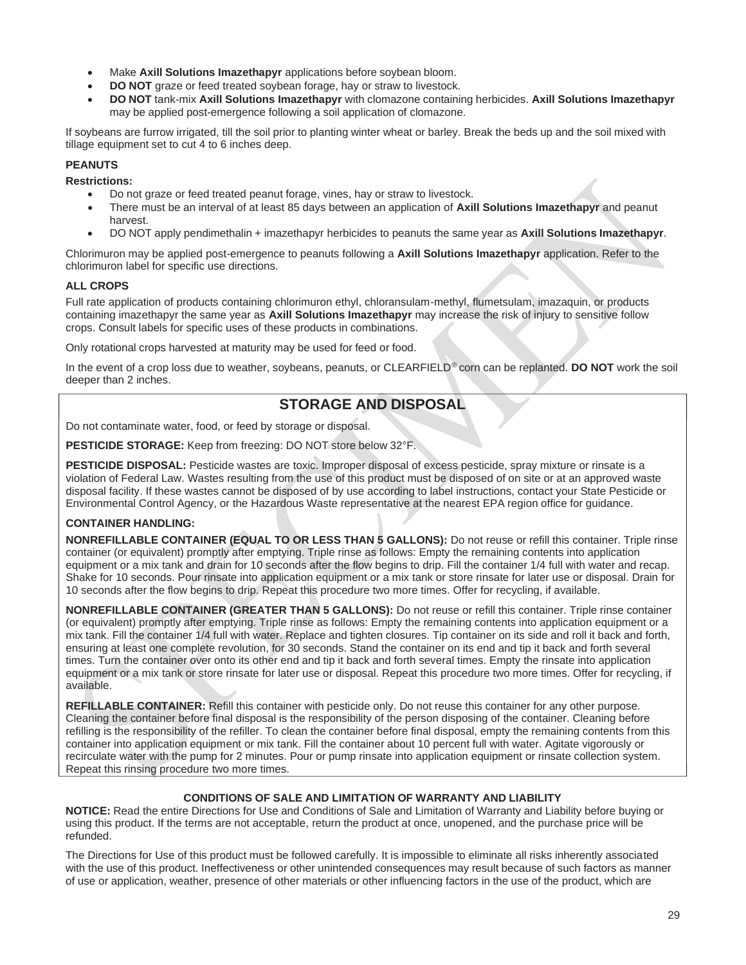- Make **Axill Solutions Imazethapyr** applications before soybean bloom.
- **DO NOT** graze or feed treated soybean forage, hay or straw to livestock.
- **DO NOT** tank-mix **Axill Solutions Imazethapyr** with clomazone containing herbicides. **Axill Solutions Imazethapyr** may be applied post-emergence following a soil application of clomazone.

If soybeans are furrow irrigated, till the soil prior to planting winter wheat or barley. Break the beds up and the soil mixed with tillage equipment set to cut 4 to 6 inches deep.

#### **PEANUTS**

**Restrictions:**

- Do not graze or feed treated peanut forage, vines, hay or straw to livestock.
- There must be an interval of at least 85 days between an application of **Axill Solutions Imazethapyr** and peanut harvest.
- DO NOT apply pendimethalin + imazethapyr herbicides to peanuts the same year as **Axill Solutions Imazethapyr**.

Chlorimuron may be applied post-emergence to peanuts following a **Axill Solutions Imazethapyr** application. Refer to the chlorimuron label for specific use directions.

#### **ALL CROPS**

Full rate application of products containing chlorimuron ethyl, chloransulam-methyl, flumetsulam, imazaquin, or products containing imazethapyr the same year as **Axill Solutions Imazethapyr** may increase the risk of injury to sensitive follow crops. Consult labels for specific uses of these products in combinations.

Only rotational crops harvested at maturity may be used for feed or food.

In the event of a crop loss due to weather, soybeans, peanuts, or CLEARFIELD® corn can be replanted. **DO NOT** work the soil deeper than 2 inches.

## **STORAGE AND DISPOSAL**

Do not contaminate water, food, or feed by storage or disposal.

**PESTICIDE STORAGE:** Keep from freezing: DO NOT store below 32°F.

**PESTICIDE DISPOSAL:** Pesticide wastes are toxic. Improper disposal of excess pesticide, spray mixture or rinsate is a violation of Federal Law. Wastes resulting from the use of this product must be disposed of on site or at an approved waste disposal facility. If these wastes cannot be disposed of by use according to label instructions, contact your State Pesticide or Environmental Control Agency, or the Hazardous Waste representative at the nearest EPA region office for guidance.

#### **CONTAINER HANDLING:**

**NONREFILLABLE CONTAINER (EQUAL TO OR LESS THAN 5 GALLONS):** Do not reuse or refill this container. Triple rinse container (or equivalent) promptly after emptying. Triple rinse as follows: Empty the remaining contents into application equipment or a mix tank and drain for 10 seconds after the flow begins to drip. Fill the container 1/4 full with water and recap. Shake for 10 seconds. Pour rinsate into application equipment or a mix tank or store rinsate for later use or disposal. Drain for 10 seconds after the flow begins to drip. Repeat this procedure two more times. Offer for recycling, if available.

**NONREFILLABLE CONTAINER (GREATER THAN 5 GALLONS):** Do not reuse or refill this container. Triple rinse container (or equivalent) promptly after emptying. Triple rinse as follows: Empty the remaining contents into application equipment or a mix tank. Fill the container 1/4 full with water. Replace and tighten closures. Tip container on its side and roll it back and forth, ensuring at least one complete revolution, for 30 seconds. Stand the container on its end and tip it back and forth several times. Turn the container over onto its other end and tip it back and forth several times. Empty the rinsate into application equipment or a mix tank or store rinsate for later use or disposal. Repeat this procedure two more times. Offer for recycling, if available.

**REFILLABLE CONTAINER:** Refill this container with pesticide only. Do not reuse this container for any other purpose. Cleaning the container before final disposal is the responsibility of the person disposing of the container. Cleaning before refilling is the responsibility of the refiller. To clean the container before final disposal, empty the remaining contents from this container into application equipment or mix tank. Fill the container about 10 percent full with water. Agitate vigorously or recirculate water with the pump for 2 minutes. Pour or pump rinsate into application equipment or rinsate collection system. Repeat this rinsing procedure two more times.

#### **CONDITIONS OF SALE AND LIMITATION OF WARRANTY AND LIABILITY**

**NOTICE:** Read the entire Directions for Use and Conditions of Sale and Limitation of Warranty and Liability before buying or using this product. If the terms are not acceptable, return the product at once, unopened, and the purchase price will be refunded.

The Directions for Use of this product must be followed carefully. It is impossible to eliminate all risks inherently associated with the use of this product. Ineffectiveness or other unintended consequences may result because of such factors as manner of use or application, weather, presence of other materials or other influencing factors in the use of the product, which are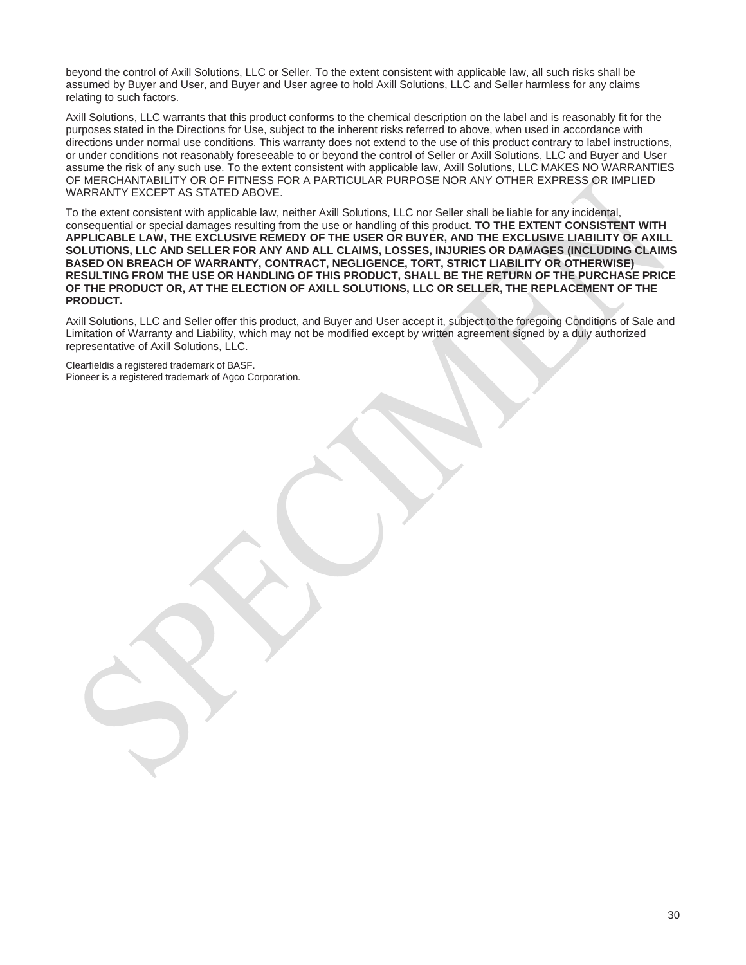beyond the control of Axill Solutions, LLC or Seller. To the extent consistent with applicable law, all such risks shall be assumed by Buyer and User, and Buyer and User agree to hold Axill Solutions, LLC and Seller harmless for any claims relating to such factors.

Axill Solutions, LLC warrants that this product conforms to the chemical description on the label and is reasonably fit for the purposes stated in the Directions for Use, subject to the inherent risks referred to above, when used in accordance with directions under normal use conditions. This warranty does not extend to the use of this product contrary to label instructions, or under conditions not reasonably foreseeable to or beyond the control of Seller or Axill Solutions, LLC and Buyer and User assume the risk of any such use. To the extent consistent with applicable law, Axill Solutions, LLC MAKES NO WARRANTIES OF MERCHANTABILITY OR OF FITNESS FOR A PARTICULAR PURPOSE NOR ANY OTHER EXPRESS OR IMPLIED WARRANTY EXCEPT AS STATED ABOVE.

To the extent consistent with applicable law, neither Axill Solutions, LLC nor Seller shall be liable for any incidental, consequential or special damages resulting from the use or handling of this product. **TO THE EXTENT CONSISTENT WITH APPLICABLE LAW, THE EXCLUSIVE REMEDY OF THE USER OR BUYER, AND THE EXCLUSIVE LIABILITY OF AXILL SOLUTIONS, LLC AND SELLER FOR ANY AND ALL CLAIMS, LOSSES, INJURIES OR DAMAGES (INCLUDING CLAIMS BASED ON BREACH OF WARRANTY, CONTRACT, NEGLIGENCE, TORT, STRICT LIABILITY OR OTHERWISE) RESULTING FROM THE USE OR HANDLING OF THIS PRODUCT, SHALL BE THE RETURN OF THE PURCHASE PRICE OF THE PRODUCT OR, AT THE ELECTION OF AXILL SOLUTIONS, LLC OR SELLER, THE REPLACEMENT OF THE PRODUCT.**

Axill Solutions, LLC and Seller offer this product, and Buyer and User accept it, subject to the foregoing Conditions of Sale and Limitation of Warranty and Liability, which may not be modified except by written agreement signed by a duly authorized representative of Axill Solutions, LLC.

Clearfieldis a registered trademark of BASF. Pioneer is a registered trademark of Agco Corporation.